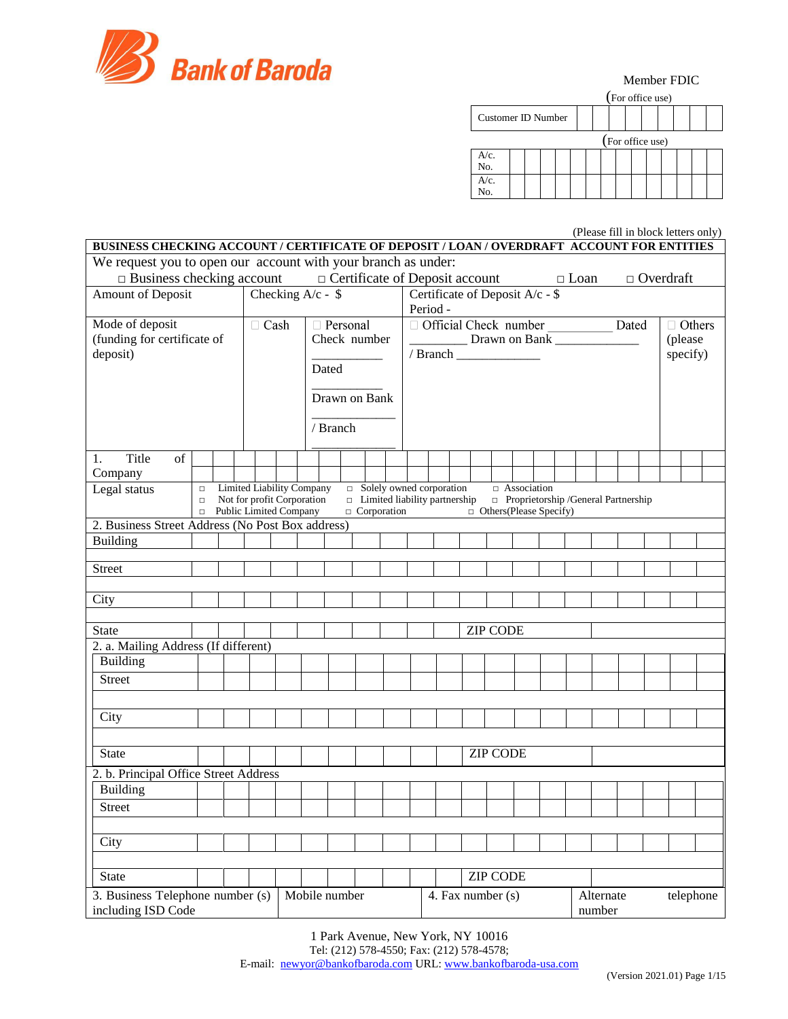

|                    |  |  | (For office use) |  |  |  |
|--------------------|--|--|------------------|--|--|--|
| Customer ID Number |  |  |                  |  |  |  |
|                    |  |  | (For office use) |  |  |  |
| A/c.<br>No.        |  |  |                  |  |  |  |
| $A/c$ .<br>No.     |  |  |                  |  |  |  |

(Please fill in block letters only)

| BUSINESS CHECKING ACCOUNT / CERTIFICATE OF DEPOSIT / LOAN / OVERDRAFT ACCOUNT FOR ENTITIES                                                                               |                                                                |                            |  |               |  |                 |                                 |         |  |  |  |          |                            |               |  |  |  |
|--------------------------------------------------------------------------------------------------------------------------------------------------------------------------|----------------------------------------------------------------|----------------------------|--|---------------|--|-----------------|---------------------------------|---------|--|--|--|----------|----------------------------|---------------|--|--|--|
| We request you to open our account with your branch as under:                                                                                                            |                                                                |                            |  |               |  |                 |                                 |         |  |  |  |          |                            |               |  |  |  |
| $\Box$ Business checking account $\Box$ Certificate of Deposit account $\Box$ Loan                                                                                       |                                                                |                            |  |               |  |                 |                                 |         |  |  |  |          | $\hfill \Box$<br>Overdraft |               |  |  |  |
| Amount of Deposit                                                                                                                                                        | Checking $A/c - $$                                             |                            |  | Period -      |  |                 | Certificate of Deposit A/c - \$ |         |  |  |  |          |                            |               |  |  |  |
| Mode of deposit                                                                                                                                                          | $\Box$ Cash                                                    | □ Personal                 |  |               |  |                 | Official Check number Dated     |         |  |  |  |          |                            | $\Box$ Others |  |  |  |
| (funding for certificate of                                                                                                                                              |                                                                | Check number               |  | Drawn on Bank |  |                 |                                 | (please |  |  |  |          |                            |               |  |  |  |
| deposit)                                                                                                                                                                 |                                                                | Dated                      |  |               |  |                 |                                 |         |  |  |  | specify) |                            |               |  |  |  |
|                                                                                                                                                                          |                                                                |                            |  |               |  |                 |                                 |         |  |  |  |          |                            |               |  |  |  |
|                                                                                                                                                                          |                                                                | Drawn on Bank              |  |               |  |                 |                                 |         |  |  |  |          |                            |               |  |  |  |
|                                                                                                                                                                          |                                                                |                            |  |               |  |                 |                                 |         |  |  |  |          |                            |               |  |  |  |
|                                                                                                                                                                          |                                                                | / Branch                   |  |               |  |                 |                                 |         |  |  |  |          |                            |               |  |  |  |
| Title<br>1.<br>of                                                                                                                                                        |                                                                |                            |  |               |  |                 |                                 |         |  |  |  |          |                            |               |  |  |  |
| Company                                                                                                                                                                  |                                                                |                            |  |               |  |                 |                                 |         |  |  |  |          |                            |               |  |  |  |
| Legal status<br>$\Box$<br>$\Box$                                                                                                                                         | <b>Limited Liability Company</b><br>Not for profit Corporation | □ Solely owned corporation |  |               |  |                 | $\Box$ Association              |         |  |  |  |          |                            |               |  |  |  |
| $\Box$ Limited liability partnership<br>Proprietorship / General Partnership<br>Public Limited Company<br>$\Box$ Corporation<br>$\Box$ Others (Please Specify)<br>$\Box$ |                                                                |                            |  |               |  |                 |                                 |         |  |  |  |          |                            |               |  |  |  |
| 2. Business Street Address (No Post Box address)                                                                                                                         |                                                                |                            |  |               |  |                 |                                 |         |  |  |  |          |                            |               |  |  |  |
| <b>Building</b>                                                                                                                                                          |                                                                |                            |  |               |  |                 |                                 |         |  |  |  |          |                            |               |  |  |  |
| <b>Street</b>                                                                                                                                                            |                                                                |                            |  |               |  |                 |                                 |         |  |  |  |          |                            |               |  |  |  |
|                                                                                                                                                                          |                                                                |                            |  |               |  |                 |                                 |         |  |  |  |          |                            |               |  |  |  |
| City                                                                                                                                                                     |                                                                |                            |  |               |  |                 |                                 |         |  |  |  |          |                            |               |  |  |  |
| <b>State</b>                                                                                                                                                             |                                                                |                            |  |               |  | <b>ZIP CODE</b> |                                 |         |  |  |  |          |                            |               |  |  |  |
| 2. a. Mailing Address (If different)                                                                                                                                     |                                                                |                            |  |               |  |                 |                                 |         |  |  |  |          |                            |               |  |  |  |
| <b>Building</b>                                                                                                                                                          |                                                                |                            |  |               |  |                 |                                 |         |  |  |  |          |                            |               |  |  |  |
| <b>Street</b>                                                                                                                                                            |                                                                |                            |  |               |  |                 |                                 |         |  |  |  |          |                            |               |  |  |  |
|                                                                                                                                                                          |                                                                |                            |  |               |  |                 |                                 |         |  |  |  |          |                            |               |  |  |  |
| City                                                                                                                                                                     |                                                                |                            |  |               |  |                 |                                 |         |  |  |  |          |                            |               |  |  |  |
|                                                                                                                                                                          |                                                                |                            |  |               |  |                 |                                 |         |  |  |  |          |                            |               |  |  |  |
| <b>State</b>                                                                                                                                                             |                                                                |                            |  |               |  | <b>ZIP CODE</b> |                                 |         |  |  |  |          |                            |               |  |  |  |
| 2. b. Principal Office Street Address                                                                                                                                    |                                                                |                            |  |               |  |                 |                                 |         |  |  |  |          |                            |               |  |  |  |
| <b>Building</b>                                                                                                                                                          |                                                                |                            |  |               |  |                 |                                 |         |  |  |  |          |                            |               |  |  |  |
| <b>Street</b>                                                                                                                                                            |                                                                |                            |  |               |  |                 |                                 |         |  |  |  |          |                            |               |  |  |  |
|                                                                                                                                                                          |                                                                |                            |  |               |  |                 |                                 |         |  |  |  |          |                            |               |  |  |  |
| City                                                                                                                                                                     |                                                                |                            |  |               |  |                 |                                 |         |  |  |  |          |                            |               |  |  |  |
|                                                                                                                                                                          |                                                                |                            |  |               |  |                 |                                 |         |  |  |  |          |                            |               |  |  |  |
| <b>State</b>                                                                                                                                                             |                                                                | Mobile number              |  |               |  | <b>ZIP CODE</b> |                                 |         |  |  |  |          |                            |               |  |  |  |
| 3. Business Telephone number (s)<br>including ISD Code                                                                                                                   | Alternate<br>4. Fax number (s)<br>number                       |                            |  |               |  | telephone       |                                 |         |  |  |  |          |                            |               |  |  |  |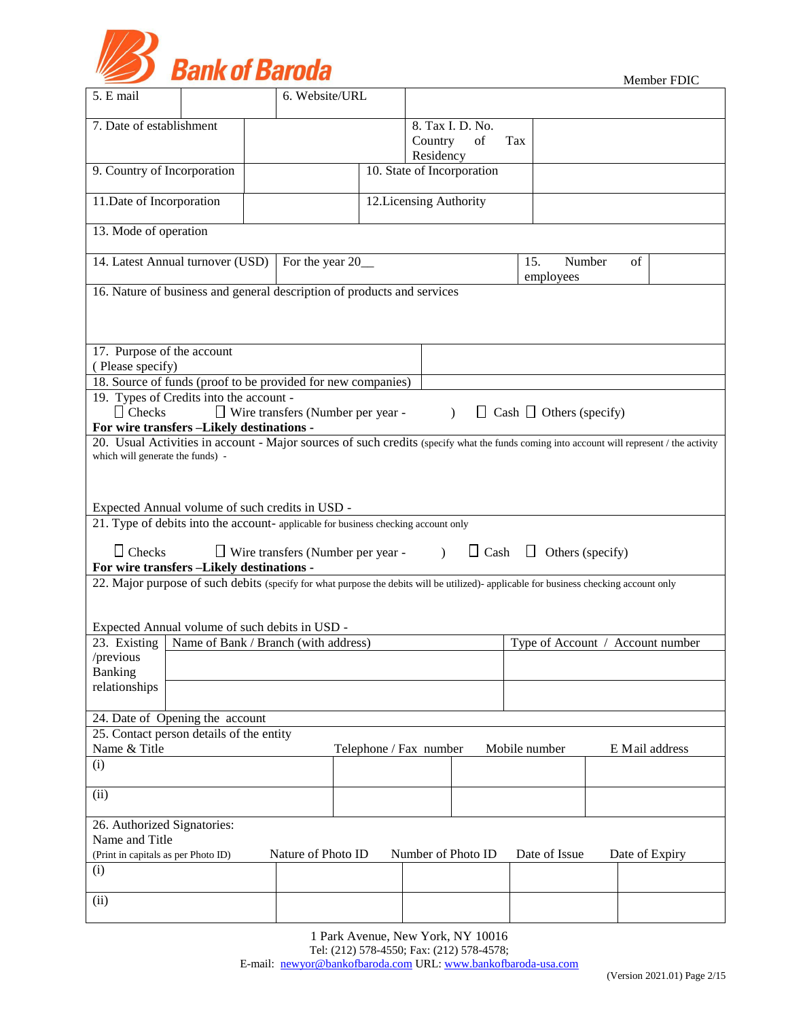

|  | Member FDIC |
|--|-------------|
|--|-------------|

| 5. E mail                                                      |                                         | 6. Website/URL                                                                     |                                                                                                                                           |               |                                     |                                  |
|----------------------------------------------------------------|-----------------------------------------|------------------------------------------------------------------------------------|-------------------------------------------------------------------------------------------------------------------------------------------|---------------|-------------------------------------|----------------------------------|
| 7. Date of establishment                                       |                                         |                                                                                    | 8. Tax I. D. No.                                                                                                                          |               |                                     |                                  |
|                                                                |                                         |                                                                                    | Country<br>of                                                                                                                             | Tax           |                                     |                                  |
|                                                                |                                         |                                                                                    | Residency                                                                                                                                 |               |                                     |                                  |
| 9. Country of Incorporation                                    |                                         |                                                                                    | 10. State of Incorporation                                                                                                                |               |                                     |                                  |
| 11. Date of Incorporation                                      |                                         |                                                                                    | 12. Licensing Authority                                                                                                                   |               |                                     |                                  |
| 13. Mode of operation                                          |                                         |                                                                                    |                                                                                                                                           |               |                                     |                                  |
| 14. Latest Annual turnover (USD)                               |                                         | For the year 20_                                                                   |                                                                                                                                           | 15.           | Number<br>employees                 | of                               |
|                                                                |                                         | 16. Nature of business and general description of products and services            |                                                                                                                                           |               |                                     |                                  |
|                                                                |                                         |                                                                                    |                                                                                                                                           |               |                                     |                                  |
| 17. Purpose of the account                                     |                                         |                                                                                    |                                                                                                                                           |               |                                     |                                  |
| (Please specify)                                               |                                         | 18. Source of funds (proof to be provided for new companies)                       |                                                                                                                                           |               |                                     |                                  |
|                                                                | 19. Types of Credits into the account - |                                                                                    |                                                                                                                                           |               |                                     |                                  |
| $\Box$ Checks                                                  |                                         | $\Box$ Wire transfers (Number per year -                                           | $\lambda$                                                                                                                                 |               | $\Box$ Cash $\Box$ Others (specify) |                                  |
| For wire transfers -Likely destinations -                      |                                         |                                                                                    |                                                                                                                                           |               |                                     |                                  |
| which will generate the funds) -                               |                                         |                                                                                    | 20. Usual Activities in account - Major sources of such credits (specify what the funds coming into account will represent / the activity |               |                                     |                                  |
|                                                                |                                         |                                                                                    |                                                                                                                                           |               |                                     |                                  |
|                                                                |                                         |                                                                                    |                                                                                                                                           |               |                                     |                                  |
| Expected Annual volume of such credits in USD -                |                                         |                                                                                    |                                                                                                                                           |               |                                     |                                  |
|                                                                |                                         | 21. Type of debits into the account- applicable for business checking account only |                                                                                                                                           |               |                                     |                                  |
| $\Box$ Checks                                                  |                                         | $\Box$ Wire transfers (Number per year - )                                         | $\Box$ Cash                                                                                                                               |               | $\Box$ Others (specify)             |                                  |
| For wire transfers -Likely destinations -                      |                                         |                                                                                    | 22. Major purpose of such debits (specify for what purpose the debits will be utilized)- applicable for business checking account only    |               |                                     |                                  |
|                                                                |                                         |                                                                                    |                                                                                                                                           |               |                                     |                                  |
|                                                                |                                         |                                                                                    |                                                                                                                                           |               |                                     |                                  |
| Expected Annual volume of such debits in USD -<br>23. Existing |                                         | Name of Bank / Branch (with address)                                               |                                                                                                                                           |               |                                     | Type of Account / Account number |
| /previous                                                      |                                         |                                                                                    |                                                                                                                                           |               |                                     |                                  |
| Banking                                                        |                                         |                                                                                    |                                                                                                                                           |               |                                     |                                  |
| relationships                                                  |                                         |                                                                                    |                                                                                                                                           |               |                                     |                                  |
| 24. Date of Opening the account                                |                                         |                                                                                    |                                                                                                                                           |               |                                     |                                  |
| 25. Contact person details of the entity                       |                                         |                                                                                    |                                                                                                                                           |               |                                     |                                  |
| Name & Title                                                   |                                         |                                                                                    | Telephone / Fax number                                                                                                                    | Mobile number |                                     | E Mail address                   |
| (i)                                                            |                                         |                                                                                    |                                                                                                                                           |               |                                     |                                  |
| (ii)                                                           |                                         |                                                                                    |                                                                                                                                           |               |                                     |                                  |
| 26. Authorized Signatories:                                    |                                         |                                                                                    |                                                                                                                                           |               |                                     |                                  |
| Name and Title                                                 |                                         |                                                                                    |                                                                                                                                           |               |                                     |                                  |
| (Print in capitals as per Photo ID)                            |                                         | Nature of Photo ID                                                                 | Number of Photo ID                                                                                                                        |               | Date of Issue                       | Date of Expiry                   |
| (i)                                                            |                                         |                                                                                    |                                                                                                                                           |               |                                     |                                  |
| (ii)                                                           |                                         |                                                                                    |                                                                                                                                           |               |                                     |                                  |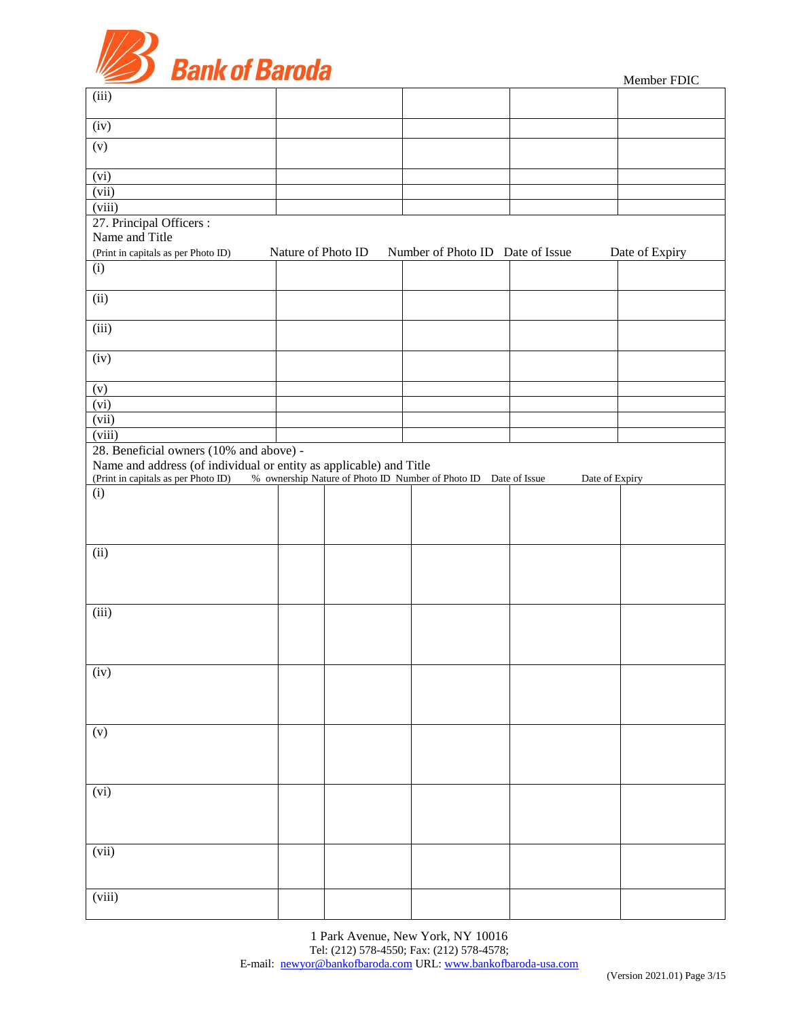

| (iii)                                                              |                    |                                                                 |                |                |
|--------------------------------------------------------------------|--------------------|-----------------------------------------------------------------|----------------|----------------|
|                                                                    |                    |                                                                 |                |                |
| (iv)                                                               |                    |                                                                 |                |                |
| (v)                                                                |                    |                                                                 |                |                |
| (vi)                                                               |                    |                                                                 |                |                |
| (vii)                                                              |                    |                                                                 |                |                |
| $\overline{(viii)}$                                                |                    |                                                                 |                |                |
| 27. Principal Officers:                                            |                    |                                                                 |                |                |
| Name and Title                                                     |                    |                                                                 |                |                |
| (Print in capitals as per Photo ID)                                | Nature of Photo ID | Number of Photo ID Date of Issue                                |                | Date of Expiry |
| (i)                                                                |                    |                                                                 |                |                |
|                                                                    |                    |                                                                 |                |                |
| (ii)                                                               |                    |                                                                 |                |                |
| (iii)                                                              |                    |                                                                 |                |                |
| (iv)                                                               |                    |                                                                 |                |                |
| (v)                                                                |                    |                                                                 |                |                |
| (vi)                                                               |                    |                                                                 |                |                |
| (vii)                                                              |                    |                                                                 |                |                |
| (viii)                                                             |                    |                                                                 |                |                |
| 28. Beneficial owners (10% and above) -                            |                    |                                                                 |                |                |
| Name and address (of individual or entity as applicable) and Title |                    |                                                                 |                |                |
| (Print in capitals as per Photo ID)                                |                    | % ownership Nature of Photo ID Number of Photo ID Date of Issue | Date of Expiry |                |
| (i)                                                                |                    |                                                                 |                |                |
|                                                                    |                    |                                                                 |                |                |
|                                                                    |                    |                                                                 |                |                |
|                                                                    |                    |                                                                 |                |                |
| (ii)                                                               |                    |                                                                 |                |                |
|                                                                    |                    |                                                                 |                |                |
|                                                                    |                    |                                                                 |                |                |
|                                                                    |                    |                                                                 |                |                |
| (iii)                                                              |                    |                                                                 |                |                |
|                                                                    |                    |                                                                 |                |                |
|                                                                    |                    |                                                                 |                |                |
|                                                                    |                    |                                                                 |                |                |
|                                                                    |                    |                                                                 |                |                |
| (iv)                                                               |                    |                                                                 |                |                |
|                                                                    |                    |                                                                 |                |                |
|                                                                    |                    |                                                                 |                |                |
|                                                                    |                    |                                                                 |                |                |
| (v)                                                                |                    |                                                                 |                |                |
|                                                                    |                    |                                                                 |                |                |
|                                                                    |                    |                                                                 |                |                |
|                                                                    |                    |                                                                 |                |                |
| (vi)                                                               |                    |                                                                 |                |                |
|                                                                    |                    |                                                                 |                |                |
|                                                                    |                    |                                                                 |                |                |
|                                                                    |                    |                                                                 |                |                |
| (vii)                                                              |                    |                                                                 |                |                |
|                                                                    |                    |                                                                 |                |                |
|                                                                    |                    |                                                                 |                |                |
| (viii)                                                             |                    |                                                                 |                |                |
|                                                                    |                    |                                                                 |                |                |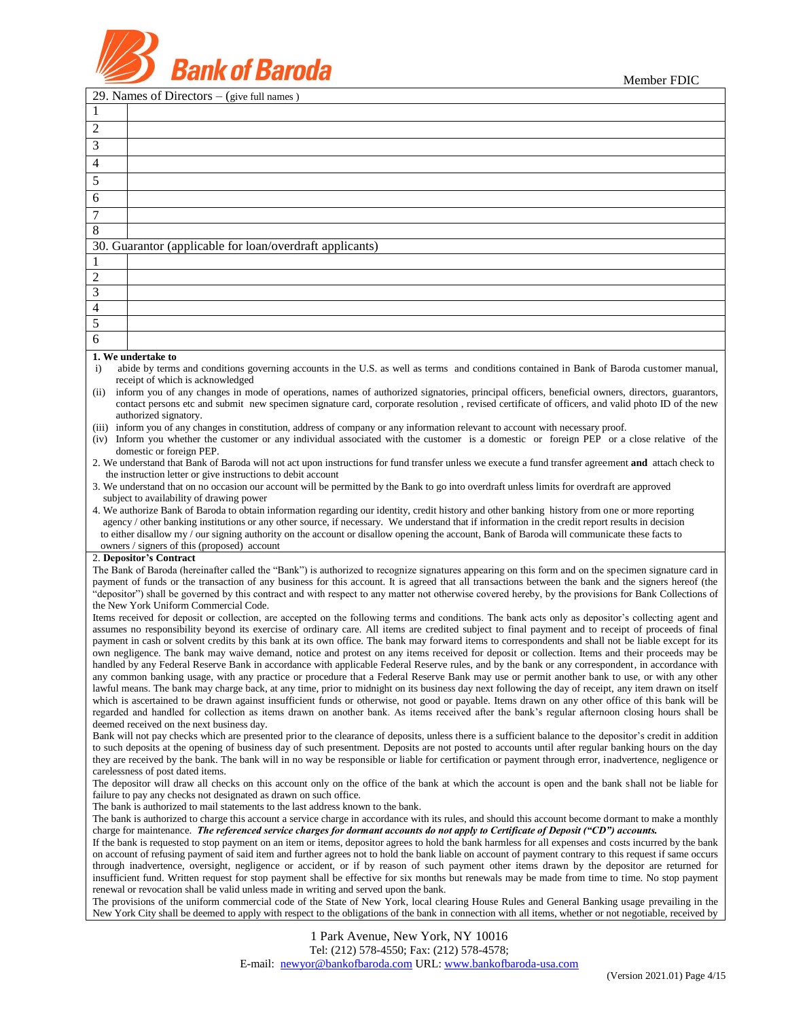



|                         | 29. Names of Directors $-$ (give full names)                                                                                                                                                                                                                                                                         |
|-------------------------|----------------------------------------------------------------------------------------------------------------------------------------------------------------------------------------------------------------------------------------------------------------------------------------------------------------------|
| 1                       |                                                                                                                                                                                                                                                                                                                      |
| $\overline{c}$          |                                                                                                                                                                                                                                                                                                                      |
| 3                       |                                                                                                                                                                                                                                                                                                                      |
| 4                       |                                                                                                                                                                                                                                                                                                                      |
| 5                       |                                                                                                                                                                                                                                                                                                                      |
| 6                       |                                                                                                                                                                                                                                                                                                                      |
| 7                       |                                                                                                                                                                                                                                                                                                                      |
| 8                       |                                                                                                                                                                                                                                                                                                                      |
| 30.                     | Guarantor (applicable for loan/overdraft applicants)                                                                                                                                                                                                                                                                 |
| 1                       |                                                                                                                                                                                                                                                                                                                      |
| $\overline{c}$          |                                                                                                                                                                                                                                                                                                                      |
| $\mathfrak{Z}$          |                                                                                                                                                                                                                                                                                                                      |
| $\overline{\mathbf{4}}$ |                                                                                                                                                                                                                                                                                                                      |
| 5                       |                                                                                                                                                                                                                                                                                                                      |
| $\overline{6}$          |                                                                                                                                                                                                                                                                                                                      |
|                         | 1. We undertake to                                                                                                                                                                                                                                                                                                   |
| $\mathbf{i}$            | abide by terms and conditions governing accounts in the U.S. as well as terms and conditions contained in Bank of Baroda customer manual,<br>receipt of which is acknowledged                                                                                                                                        |
| (ii)                    | inform you of any changes in mode of operations, names of authorized signatories, principal officers, beneficial owners, directors, guarantors,                                                                                                                                                                      |
|                         | contact persons etc and submit new specimen signature card, corporate resolution, revised certificate of officers, and valid photo ID of the new<br>authorized signatory.                                                                                                                                            |
|                         | (iii) inform you of any changes in constitution, address of company or any information relevant to account with necessary proof.                                                                                                                                                                                     |
|                         | (iv) Inform you whether the customer or any individual associated with the customer is a domestic or foreign PEP or a close relative of the                                                                                                                                                                          |
|                         | domestic or foreign PEP.<br>2. We understand that Bank of Baroda will not act upon instructions for fund transfer unless we execute a fund transfer agreement and attach check to                                                                                                                                    |
|                         | the instruction letter or give instructions to debit account                                                                                                                                                                                                                                                         |
|                         | 3. We understand that on no occasion our account will be permitted by the Bank to go into overdraft unless limits for overdraft are approved<br>subject to availability of drawing power                                                                                                                             |
|                         | 4. We authorize Bank of Baroda to obtain information regarding our identity, credit history and other banking history from one or more reporting                                                                                                                                                                     |
|                         | agency / other banking institutions or any other source, if necessary. We understand that if information in the credit report results in decision                                                                                                                                                                    |
|                         | to either disallow my / our signing authority on the account or disallow opening the account, Bank of Baroda will communicate these facts to<br>owners / signers of this (proposed) account                                                                                                                          |
|                         | 2. Depositor's Contract                                                                                                                                                                                                                                                                                              |
|                         | The Bank of Baroda (hereinafter called the "Bank") is authorized to recognize signatures appearing on this form and on the specimen signature card in                                                                                                                                                                |
|                         | payment of funds or the transaction of any business for this account. It is agreed that all transactions between the bank and the signers hereof (the<br>"depositor") shall be governed by this contract and with respect to any matter not otherwise covered hereby, by the provisions for Bank Collections of      |
|                         | the New York Uniform Commercial Code.                                                                                                                                                                                                                                                                                |
|                         | Items received for deposit or collection, are accepted on the following terms and conditions. The bank acts only as depositor's collecting agent and                                                                                                                                                                 |
|                         | assumes no responsibility beyond its exercise of ordinary care. All items are credited subject to final payment and to receipt of proceeds of final<br>payment in cash or solvent credits by this bank at its own office. The bank may forward items to correspondents and shall not be liable except for its        |
|                         | own negligence. The bank may waive demand, notice and protest on any items received for deposit or collection. Items and their proceeds may be                                                                                                                                                                       |
|                         | handled by any Federal Reserve Bank in accordance with applicable Federal Reserve rules, and by the bank or any correspondent, in accordance with                                                                                                                                                                    |
|                         | any common banking usage, with any practice or procedure that a Federal Reserve Bank may use or permit another bank to use, or with any other<br>lawful means. The bank may charge back, at any time, prior to midnight on its business day next following the day of receipt, any item drawn on itself              |
|                         | which is ascertained to be drawn against insufficient funds or otherwise, not good or payable. Items drawn on any other office of this bank will be                                                                                                                                                                  |
|                         | regarded and handled for collection as items drawn on another bank. As items received after the bank's regular afternoon closing hours shall be<br>deemed received on the next business day.                                                                                                                         |
|                         | Bank will not pay checks which are presented prior to the clearance of deposits, unless there is a sufficient balance to the depositor's credit in addition                                                                                                                                                          |
|                         | to such deposits at the opening of business day of such presentment. Deposits are not posted to accounts until after regular banking hours on the day                                                                                                                                                                |
|                         | they are received by the bank. The bank will in no way be responsible or liable for certification or payment through error, inadvertence, negligence or<br>carelessness of post dated items.                                                                                                                         |
|                         | The depositor will draw all checks on this account only on the office of the bank at which the account is open and the bank shall not be liable for                                                                                                                                                                  |
|                         | failure to pay any checks not designated as drawn on such office.                                                                                                                                                                                                                                                    |
|                         | The bank is authorized to mail statements to the last address known to the bank.<br>The bank is authorized to charge this account a service charge in accordance with its rules, and should this account become dormant to make a monthly                                                                            |
|                         | charge for maintenance. The referenced service charges for dormant accounts do not apply to Certificate of Deposit ("CD") accounts.                                                                                                                                                                                  |
|                         | If the bank is requested to stop payment on an item or items, depositor agrees to hold the bank harmless for all expenses and costs incurred by the bank<br>on account of refusing payment of said item and further agrees not to hold the bank liable on account of payment contrary to this request if same occurs |
|                         | through inadvertence, oversight, negligence or accident, or if by reason of such payment other items drawn by the depositor are returned for                                                                                                                                                                         |
|                         | insufficient fund. Written request for stop payment shall be effective for six months but renewals may be made from time to time. No stop payment                                                                                                                                                                    |
|                         | renewal or revocation shall be valid unless made in writing and served upon the bank.<br>The provisions of the uniform commercial code of the State of New York, local clearing House Rules and General Banking usage prevailing in the                                                                              |
|                         | New York City shall be deemed to apply with respect to the obligations of the bank in connection with all items, whether or not negotiable, received by                                                                                                                                                              |
|                         | 1 Park Avenue, New York, NY 10016                                                                                                                                                                                                                                                                                    |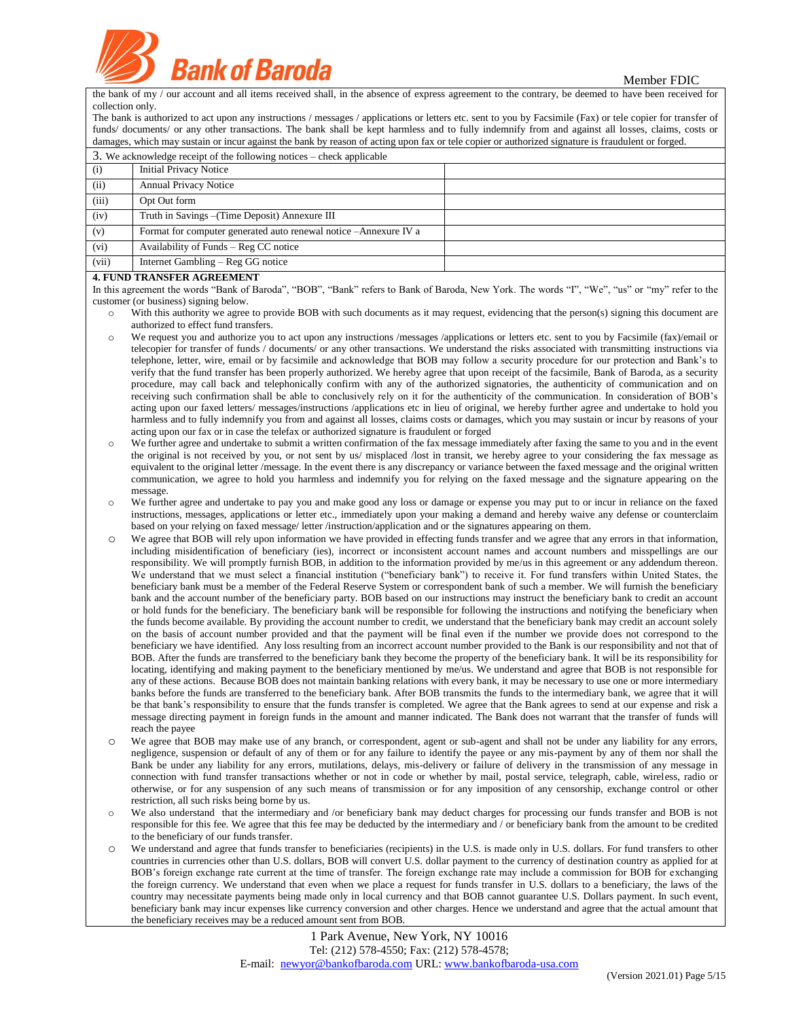**Pank of Baroda** 

the bank of my / our account and all items received shall, in the absence of express agreement to the contrary, be deemed to have been received for collection only.

The bank is authorized to act upon any instructions / messages / applications or letters etc. sent to you by Facsimile (Fax) or tele copier for transfer of funds/ documents/ or any other transactions. The bank shall be kept harmless and to fully indemnify from and against all losses, claims, costs or damages, which may sustain or incur against the bank by reason of acting upon fax or tele copier or authorized signature is fraudulent or forged.

|       | 3. We acknowledge receipt of the following notices – check applicable |  |
|-------|-----------------------------------------------------------------------|--|
| (i)   | <b>Initial Privacy Notice</b>                                         |  |
| (ii)  | <b>Annual Privacy Notice</b>                                          |  |
| (iii) | Opt Out form                                                          |  |
| (iv)  | Truth in Savings – (Time Deposit) Annexure III                        |  |
| (v)   | Format for computer generated auto renewal notice -Annexure IV a      |  |
| (vi)  | Availability of Funds – Reg CC notice                                 |  |
| (vii) | Internet Gambling – Reg GG notice                                     |  |

#### **4. FUND TRANSFER AGREEMENT**

In this agreement the words "Bank of Baroda", "BOB", "Bank" refers to Bank of Baroda, New York. The words "I", "We", "us" or "my" refer to the customer (or business) signing below.

- o With this authority we agree to provide BOB with such documents as it may request, evidencing that the person(s) signing this document are authorized to effect fund transfers.
- We request you and authorize you to act upon any instructions /messages /applications or letters etc. sent to you by Facsimile (fax)/email or telecopier for transfer of funds / documents/ or any other transactions. We understand the risks associated with transmitting instructions via telephone, letter, wire, email or by facsimile and acknowledge that BOB may follow a security procedure for our protection and Bank's to verify that the fund transfer has been properly authorized. We hereby agree that upon receipt of the facsimile, Bank of Baroda, as a security procedure, may call back and telephonically confirm with any of the authorized signatories, the authenticity of communication and on receiving such confirmation shall be able to conclusively rely on it for the authenticity of the communication. In consideration of BOB's acting upon our faxed letters/ messages/instructions /applications etc in lieu of original, we hereby further agree and undertake to hold you harmless and to fully indemnify you from and against all losses, claims costs or damages, which you may sustain or incur by reasons of your acting upon our fax or in case the telefax or authorized signature is fraudulent or forged
- o We further agree and undertake to submit a written confirmation of the fax message immediately after faxing the same to you and in the event the original is not received by you, or not sent by us/ misplaced /lost in transit, we hereby agree to your considering the fax message as equivalent to the original letter /message. In the event there is any discrepancy or variance between the faxed message and the original written communication, we agree to hold you harmless and indemnify you for relying on the faxed message and the signature appearing on the message.
- o We further agree and undertake to pay you and make good any loss or damage or expense you may put to or incur in reliance on the faxed instructions, messages, applications or letter etc., immediately upon your making a demand and hereby waive any defense or counterclaim based on your relying on faxed message/ letter /instruction/application and or the signatures appearing on them.
- We agree that BOB will rely upon information we have provided in effecting funds transfer and we agree that any errors in that information, including misidentification of beneficiary (ies), incorrect or inconsistent account names and account numbers and misspellings are our responsibility. We will promptly furnish BOB, in addition to the information provided by me/us in this agreement or any addendum thereon. We understand that we must select a financial institution ("beneficiary bank") to receive it. For fund transfers within United States, the beneficiary bank must be a member of the Federal Reserve System or correspondent bank of such a member. We will furnish the beneficiary bank and the account number of the beneficiary party. BOB based on our instructions may instruct the beneficiary bank to credit an account or hold funds for the beneficiary. The beneficiary bank will be responsible for following the instructions and notifying the beneficiary when the funds become available. By providing the account number to credit, we understand that the beneficiary bank may credit an account solely on the basis of account number provided and that the payment will be final even if the number we provide does not correspond to the beneficiary we have identified. Any loss resulting from an incorrect account number provided to the Bank is our responsibility and not that of BOB. After the funds are transferred to the beneficiary bank they become the property of the beneficiary bank. It will be its responsibility for locating, identifying and making payment to the beneficiary mentioned by me/us. We understand and agree that BOB is not responsible for any of these actions. Because BOB does not maintain banking relations with every bank, it may be necessary to use one or more intermediary banks before the funds are transferred to the beneficiary bank. After BOB transmits the funds to the intermediary bank, we agree that it will be that bank's responsibility to ensure that the funds transfer is completed. We agree that the Bank agrees to send at our expense and risk a message directing payment in foreign funds in the amount and manner indicated. The Bank does not warrant that the transfer of funds will reach the payee
- o We agree that BOB may make use of any branch, or correspondent, agent or sub-agent and shall not be under any liability for any errors, negligence, suspension or default of any of them or for any failure to identify the payee or any mis-payment by any of them nor shall the Bank be under any liability for any errors, mutilations, delays, mis-delivery or failure of delivery in the transmission of any message in connection with fund transfer transactions whether or not in code or whether by mail, postal service, telegraph, cable, wireless, radio or otherwise, or for any suspension of any such means of transmission or for any imposition of any censorship, exchange control or other restriction, all such risks being borne by us.
- o We also understand that the intermediary and /or beneficiary bank may deduct charges for processing our funds transfer and BOB is not responsible for this fee. We agree that this fee may be deducted by the intermediary and / or beneficiary bank from the amount to be credited to the beneficiary of our funds transfer.
- We understand and agree that funds transfer to beneficiaries (recipients) in the U.S. is made only in U.S. dollars. For fund transfers to other countries in currencies other than U.S. dollars, BOB will convert U.S. dollar payment to the currency of destination country as applied for at BOB's foreign exchange rate current at the time of transfer. The foreign exchange rate may include a commission for BOB for exchanging the foreign currency. We understand that even when we place a request for funds transfer in U.S. dollars to a beneficiary, the laws of the country may necessitate payments being made only in local currency and that BOB cannot guarantee U.S. Dollars payment. In such event, beneficiary bank may incur expenses like currency conversion and other charges. Hence we understand and agree that the actual amount that the beneficiary receives may be a reduced amount sent from BOB.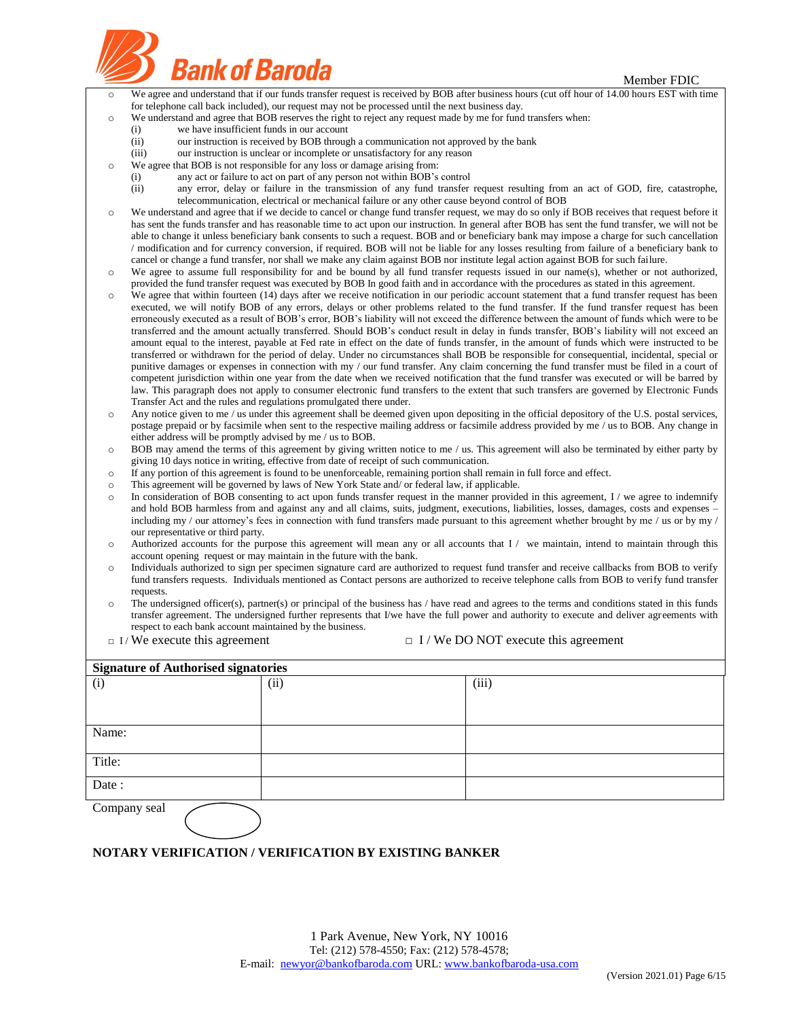

|                    | Dalin VI Daluud                                                                                                                          |                                                                                                                                                                                                                         | Member FDIC                                                                                                                                                                                                                                                                                  |  |  |  |  |  |  |  |  |
|--------------------|------------------------------------------------------------------------------------------------------------------------------------------|-------------------------------------------------------------------------------------------------------------------------------------------------------------------------------------------------------------------------|----------------------------------------------------------------------------------------------------------------------------------------------------------------------------------------------------------------------------------------------------------------------------------------------|--|--|--|--|--|--|--|--|
| $\circ$            |                                                                                                                                          |                                                                                                                                                                                                                         | We agree and understand that if our funds transfer request is received by BOB after business hours (cut off hour of 14.00 hours EST with time                                                                                                                                                |  |  |  |  |  |  |  |  |
|                    |                                                                                                                                          | for telephone call back included), our request may not be processed until the next business day.<br>We understand and agree that BOB reserves the right to reject any request made by me for fund transfers when:       |                                                                                                                                                                                                                                                                                              |  |  |  |  |  |  |  |  |
| $\circ$            | (i)                                                                                                                                      | we have insufficient funds in our account                                                                                                                                                                               |                                                                                                                                                                                                                                                                                              |  |  |  |  |  |  |  |  |
|                    | (ii)                                                                                                                                     | our instruction is received by BOB through a communication not approved by the bank                                                                                                                                     |                                                                                                                                                                                                                                                                                              |  |  |  |  |  |  |  |  |
|                    | (iii)                                                                                                                                    | our instruction is unclear or incomplete or unsatisfactory for any reason                                                                                                                                               |                                                                                                                                                                                                                                                                                              |  |  |  |  |  |  |  |  |
| $\circ$            |                                                                                                                                          | We agree that BOB is not responsible for any loss or damage arising from:                                                                                                                                               |                                                                                                                                                                                                                                                                                              |  |  |  |  |  |  |  |  |
|                    | (i)<br>(ii)                                                                                                                              | any act or failure to act on part of any person not within BOB's control                                                                                                                                                |                                                                                                                                                                                                                                                                                              |  |  |  |  |  |  |  |  |
|                    |                                                                                                                                          | telecommunication, electrical or mechanical failure or any other cause beyond control of BOB                                                                                                                            | any error, delay or failure in the transmission of any fund transfer request resulting from an act of GOD, fire, catastrophe,                                                                                                                                                                |  |  |  |  |  |  |  |  |
| $\circ$            |                                                                                                                                          |                                                                                                                                                                                                                         | We understand and agree that if we decide to cancel or change fund transfer request, we may do so only if BOB receives that request before it                                                                                                                                                |  |  |  |  |  |  |  |  |
|                    |                                                                                                                                          |                                                                                                                                                                                                                         | has sent the funds transfer and has reasonable time to act upon our instruction. In general after BOB has sent the fund transfer, we will not be                                                                                                                                             |  |  |  |  |  |  |  |  |
|                    |                                                                                                                                          |                                                                                                                                                                                                                         | able to change it unless beneficiary bank consents to such a request. BOB and or beneficiary bank may impose a charge for such cancellation                                                                                                                                                  |  |  |  |  |  |  |  |  |
|                    |                                                                                                                                          |                                                                                                                                                                                                                         | / modification and for currency conversion, if required. BOB will not be liable for any losses resulting from failure of a beneficiary bank to                                                                                                                                               |  |  |  |  |  |  |  |  |
| $\circ$            |                                                                                                                                          | cancel or change a fund transfer, nor shall we make any claim against BOB nor institute legal action against BOB for such failure.                                                                                      | We agree to assume full responsibility for and be bound by all fund transfer requests issued in our name(s), whether or not authorized,                                                                                                                                                      |  |  |  |  |  |  |  |  |
|                    |                                                                                                                                          |                                                                                                                                                                                                                         | provided the fund transfer request was executed by BOB In good faith and in accordance with the procedures as stated in this agreement.                                                                                                                                                      |  |  |  |  |  |  |  |  |
| $\circ$            |                                                                                                                                          |                                                                                                                                                                                                                         | We agree that within fourteen (14) days after we receive notification in our periodic account statement that a fund transfer request has been                                                                                                                                                |  |  |  |  |  |  |  |  |
|                    |                                                                                                                                          |                                                                                                                                                                                                                         | executed, we will notify BOB of any errors, delays or other problems related to the fund transfer. If the fund transfer request has been                                                                                                                                                     |  |  |  |  |  |  |  |  |
|                    |                                                                                                                                          |                                                                                                                                                                                                                         | erroneously executed as a result of BOB's error, BOB's liability will not exceed the difference between the amount of funds which were to be                                                                                                                                                 |  |  |  |  |  |  |  |  |
|                    |                                                                                                                                          |                                                                                                                                                                                                                         | transferred and the amount actually transferred. Should BOB's conduct result in delay in funds transfer, BOB's liability will not exceed an<br>amount equal to the interest, payable at Fed rate in effect on the date of funds transfer, in the amount of funds which were instructed to be |  |  |  |  |  |  |  |  |
|                    |                                                                                                                                          |                                                                                                                                                                                                                         | transferred or withdrawn for the period of delay. Under no circumstances shall BOB be responsible for consequential, incidental, special or                                                                                                                                                  |  |  |  |  |  |  |  |  |
|                    |                                                                                                                                          |                                                                                                                                                                                                                         | punitive damages or expenses in connection with my / our fund transfer. Any claim concerning the fund transfer must be filed in a court of                                                                                                                                                   |  |  |  |  |  |  |  |  |
|                    |                                                                                                                                          |                                                                                                                                                                                                                         | competent jurisdiction within one year from the date when we received notification that the fund transfer was executed or will be barred by                                                                                                                                                  |  |  |  |  |  |  |  |  |
|                    |                                                                                                                                          |                                                                                                                                                                                                                         | law. This paragraph does not apply to consumer electronic fund transfers to the extent that such transfers are governed by Electronic Funds                                                                                                                                                  |  |  |  |  |  |  |  |  |
| $\circ$            |                                                                                                                                          | Transfer Act and the rules and regulations promulgated there under.                                                                                                                                                     | Any notice given to me / us under this agreement shall be deemed given upon depositing in the official depository of the U.S. postal services,                                                                                                                                               |  |  |  |  |  |  |  |  |
|                    |                                                                                                                                          |                                                                                                                                                                                                                         | postage prepaid or by facsimile when sent to the respective mailing address or facsimile address provided by me / us to BOB. Any change in                                                                                                                                                   |  |  |  |  |  |  |  |  |
|                    | either address will be promptly advised by me / us to BOB.                                                                               |                                                                                                                                                                                                                         |                                                                                                                                                                                                                                                                                              |  |  |  |  |  |  |  |  |
| $\circ$            | BOB may amend the terms of this agreement by giving written notice to me / us. This agreement will also be terminated by either party by |                                                                                                                                                                                                                         |                                                                                                                                                                                                                                                                                              |  |  |  |  |  |  |  |  |
|                    |                                                                                                                                          | giving 10 days notice in writing, effective from date of receipt of such communication.                                                                                                                                 |                                                                                                                                                                                                                                                                                              |  |  |  |  |  |  |  |  |
| $\circ$<br>$\circ$ |                                                                                                                                          | If any portion of this agreement is found to be unenforceable, remaining portion shall remain in full force and effect.<br>This agreement will be governed by laws of New York State and/or federal law, if applicable. |                                                                                                                                                                                                                                                                                              |  |  |  |  |  |  |  |  |
| $\circ$            |                                                                                                                                          |                                                                                                                                                                                                                         | In consideration of BOB consenting to act upon funds transfer request in the manner provided in this agreement, $I /$ we agree to indemnify                                                                                                                                                  |  |  |  |  |  |  |  |  |
|                    |                                                                                                                                          |                                                                                                                                                                                                                         | and hold BOB harmless from and against any and all claims, suits, judgment, executions, liabilities, losses, damages, costs and expenses -                                                                                                                                                   |  |  |  |  |  |  |  |  |
|                    |                                                                                                                                          |                                                                                                                                                                                                                         | including my / our attorney's fees in connection with fund transfers made pursuant to this agreement whether brought by me / us or by my /                                                                                                                                                   |  |  |  |  |  |  |  |  |
|                    | our representative or third party.                                                                                                       |                                                                                                                                                                                                                         |                                                                                                                                                                                                                                                                                              |  |  |  |  |  |  |  |  |
| $\circ$            |                                                                                                                                          | account opening request or may maintain in the future with the bank.                                                                                                                                                    | Authorized accounts for the purpose this agreement will mean any or all accounts that I / we maintain, intend to maintain through this                                                                                                                                                       |  |  |  |  |  |  |  |  |
| $\circ$            |                                                                                                                                          |                                                                                                                                                                                                                         | Individuals authorized to sign per specimen signature card are authorized to request fund transfer and receive callbacks from BOB to verify                                                                                                                                                  |  |  |  |  |  |  |  |  |
|                    |                                                                                                                                          |                                                                                                                                                                                                                         | fund transfers requests. Individuals mentioned as Contact persons are authorized to receive telephone calls from BOB to verify fund transfer                                                                                                                                                 |  |  |  |  |  |  |  |  |
|                    | requests.                                                                                                                                |                                                                                                                                                                                                                         |                                                                                                                                                                                                                                                                                              |  |  |  |  |  |  |  |  |
| $\circ$            |                                                                                                                                          |                                                                                                                                                                                                                         | The undersigned officer(s), partner(s) or principal of the business has / have read and agrees to the terms and conditions stated in this funds                                                                                                                                              |  |  |  |  |  |  |  |  |
|                    | respect to each bank account maintained by the business.                                                                                 |                                                                                                                                                                                                                         | transfer agreement. The undersigned further represents that I/we have the full power and authority to execute and deliver agreements with                                                                                                                                                    |  |  |  |  |  |  |  |  |
|                    | $\Box$ I/We execute this agreement                                                                                                       |                                                                                                                                                                                                                         | $\Box$ I / We DO NOT execute this agreement                                                                                                                                                                                                                                                  |  |  |  |  |  |  |  |  |
|                    |                                                                                                                                          |                                                                                                                                                                                                                         |                                                                                                                                                                                                                                                                                              |  |  |  |  |  |  |  |  |
|                    | <b>Signature of Authorised signatories</b>                                                                                               |                                                                                                                                                                                                                         |                                                                                                                                                                                                                                                                                              |  |  |  |  |  |  |  |  |
| (i)                |                                                                                                                                          | (ii)                                                                                                                                                                                                                    | (iii)                                                                                                                                                                                                                                                                                        |  |  |  |  |  |  |  |  |
|                    |                                                                                                                                          |                                                                                                                                                                                                                         |                                                                                                                                                                                                                                                                                              |  |  |  |  |  |  |  |  |
|                    |                                                                                                                                          |                                                                                                                                                                                                                         |                                                                                                                                                                                                                                                                                              |  |  |  |  |  |  |  |  |
| Name:              |                                                                                                                                          |                                                                                                                                                                                                                         |                                                                                                                                                                                                                                                                                              |  |  |  |  |  |  |  |  |
|                    |                                                                                                                                          |                                                                                                                                                                                                                         |                                                                                                                                                                                                                                                                                              |  |  |  |  |  |  |  |  |
| Title:             |                                                                                                                                          |                                                                                                                                                                                                                         |                                                                                                                                                                                                                                                                                              |  |  |  |  |  |  |  |  |
| Date:              |                                                                                                                                          |                                                                                                                                                                                                                         |                                                                                                                                                                                                                                                                                              |  |  |  |  |  |  |  |  |
|                    | Company seal                                                                                                                             |                                                                                                                                                                                                                         |                                                                                                                                                                                                                                                                                              |  |  |  |  |  |  |  |  |
|                    |                                                                                                                                          |                                                                                                                                                                                                                         |                                                                                                                                                                                                                                                                                              |  |  |  |  |  |  |  |  |
|                    |                                                                                                                                          |                                                                                                                                                                                                                         |                                                                                                                                                                                                                                                                                              |  |  |  |  |  |  |  |  |
|                    |                                                                                                                                          |                                                                                                                                                                                                                         |                                                                                                                                                                                                                                                                                              |  |  |  |  |  |  |  |  |

# **NOTARY VERIFICATION / VERIFICATION BY EXISTING BANKER**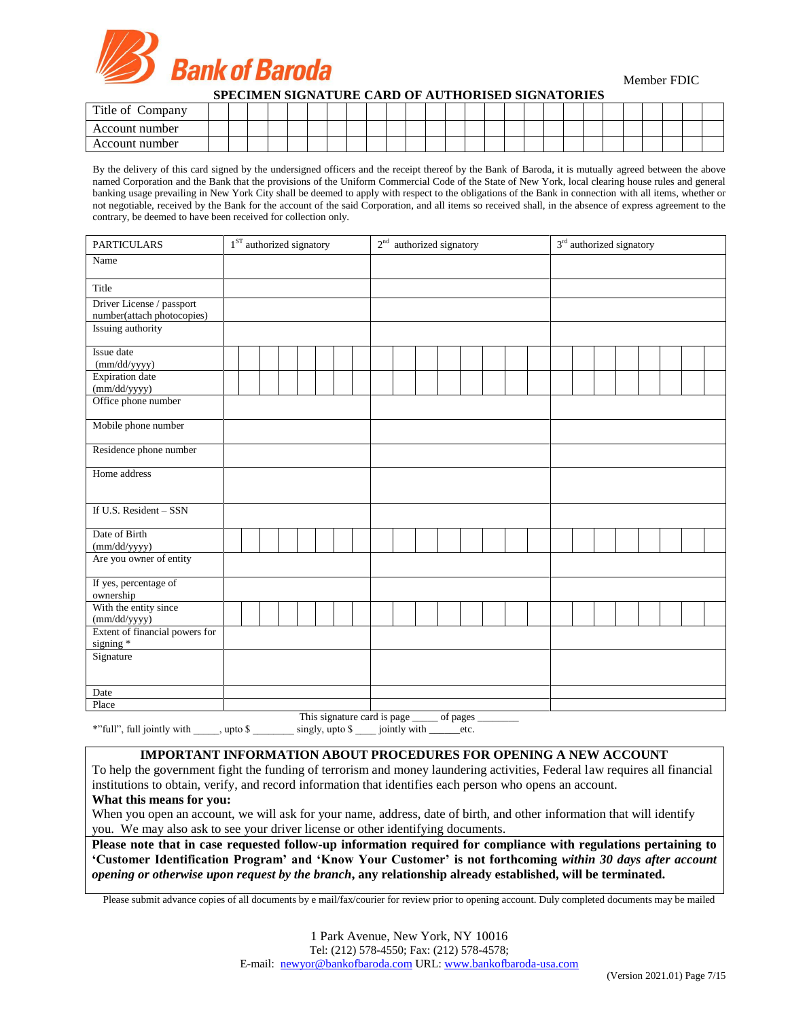

Member FDIC

**SPECIMEN SIGNATURE CARD OF AUTHORISED SIGNATORIES**

| Title of Company |  |  |  |  |  |  |  |  |  |  |  |  |  |
|------------------|--|--|--|--|--|--|--|--|--|--|--|--|--|
| Account number   |  |  |  |  |  |  |  |  |  |  |  |  |  |
| Account number   |  |  |  |  |  |  |  |  |  |  |  |  |  |

By the delivery of this card signed by the undersigned officers and the receipt thereof by the Bank of Baroda, it is mutually agreed between the above named Corporation and the Bank that the provisions of the Uniform Commercial Code of the State of New York, local clearing house rules and general banking usage prevailing in New York City shall be deemed to apply with respect to the obligations of the Bank in connection with all items, whether or not negotiable, received by the Bank for the account of the said Corporation, and all items so received shall, in the absence of express agreement to the contrary, be deemed to have been received for collection only.

| <b>PARTICULARS</b>                                      | $1ST$ authorized signatory |  |  |  |  |  |  | 2 <sup>nd</sup> authorized signatory |  |  |  |  |  |  |  | 3 <sup>rd</sup> authorized signatory |  |  |  |  |  |  |  |
|---------------------------------------------------------|----------------------------|--|--|--|--|--|--|--------------------------------------|--|--|--|--|--|--|--|--------------------------------------|--|--|--|--|--|--|--|
| Name                                                    |                            |  |  |  |  |  |  |                                      |  |  |  |  |  |  |  |                                      |  |  |  |  |  |  |  |
| Title                                                   |                            |  |  |  |  |  |  |                                      |  |  |  |  |  |  |  |                                      |  |  |  |  |  |  |  |
| Driver License / passport<br>number(attach photocopies) |                            |  |  |  |  |  |  |                                      |  |  |  |  |  |  |  |                                      |  |  |  |  |  |  |  |
| Issuing authority                                       |                            |  |  |  |  |  |  |                                      |  |  |  |  |  |  |  |                                      |  |  |  |  |  |  |  |
| Issue date<br>(mm/dd/yyyy)                              |                            |  |  |  |  |  |  |                                      |  |  |  |  |  |  |  |                                      |  |  |  |  |  |  |  |
| <b>Expiration</b> date<br>(mm/dd/yyyy)                  |                            |  |  |  |  |  |  |                                      |  |  |  |  |  |  |  |                                      |  |  |  |  |  |  |  |
| Office phone number                                     |                            |  |  |  |  |  |  |                                      |  |  |  |  |  |  |  |                                      |  |  |  |  |  |  |  |
| Mobile phone number                                     |                            |  |  |  |  |  |  |                                      |  |  |  |  |  |  |  |                                      |  |  |  |  |  |  |  |
| Residence phone number                                  |                            |  |  |  |  |  |  |                                      |  |  |  |  |  |  |  |                                      |  |  |  |  |  |  |  |
| Home address                                            |                            |  |  |  |  |  |  |                                      |  |  |  |  |  |  |  |                                      |  |  |  |  |  |  |  |
| If U.S. Resident - SSN                                  |                            |  |  |  |  |  |  |                                      |  |  |  |  |  |  |  |                                      |  |  |  |  |  |  |  |
| Date of Birth<br>(mm/dd/yyyy)                           |                            |  |  |  |  |  |  |                                      |  |  |  |  |  |  |  |                                      |  |  |  |  |  |  |  |
| Are you owner of entity                                 |                            |  |  |  |  |  |  |                                      |  |  |  |  |  |  |  |                                      |  |  |  |  |  |  |  |
| If yes, percentage of<br>ownership                      |                            |  |  |  |  |  |  |                                      |  |  |  |  |  |  |  |                                      |  |  |  |  |  |  |  |
| With the entity since<br>(mm/dd/yyyy)                   |                            |  |  |  |  |  |  |                                      |  |  |  |  |  |  |  |                                      |  |  |  |  |  |  |  |
| Extent of financial powers for<br>signing *             |                            |  |  |  |  |  |  |                                      |  |  |  |  |  |  |  |                                      |  |  |  |  |  |  |  |
| Signature                                               |                            |  |  |  |  |  |  |                                      |  |  |  |  |  |  |  |                                      |  |  |  |  |  |  |  |
| Date                                                    |                            |  |  |  |  |  |  |                                      |  |  |  |  |  |  |  |                                      |  |  |  |  |  |  |  |
| Place                                                   |                            |  |  |  |  |  |  |                                      |  |  |  |  |  |  |  |                                      |  |  |  |  |  |  |  |

This signature card is page \_\_\_\_\_\_\_ of pages

\*"full", full jointly with \_\_\_\_, upto \$ \_\_\_\_\_\_ singly, upto \$ \_\_\_ jointly with \_\_\_\_\_\_etc.

# **IMPORTANT INFORMATION ABOUT PROCEDURES FOR OPENING A NEW ACCOUNT**

To help the government fight the funding of terrorism and money laundering activities, Federal law requires all financial institutions to obtain, verify, and record information that identifies each person who opens an account.

# **What this means for you:**

When you open an account, we will ask for your name, address, date of birth, and other information that will identify you. We may also ask to see your driver license or other identifying documents.

**Please note that in case requested follow-up information required for compliance with regulations pertaining to 'Customer Identification Program' and 'Know Your Customer' is not forthcoming** *within 30 days after account opening or otherwise upon request by the branch***, any relationship already established, will be terminated.** 

Please submit advance copies of all documents by e mail/fax/courier for review prior to opening account. Duly completed documents may be mailed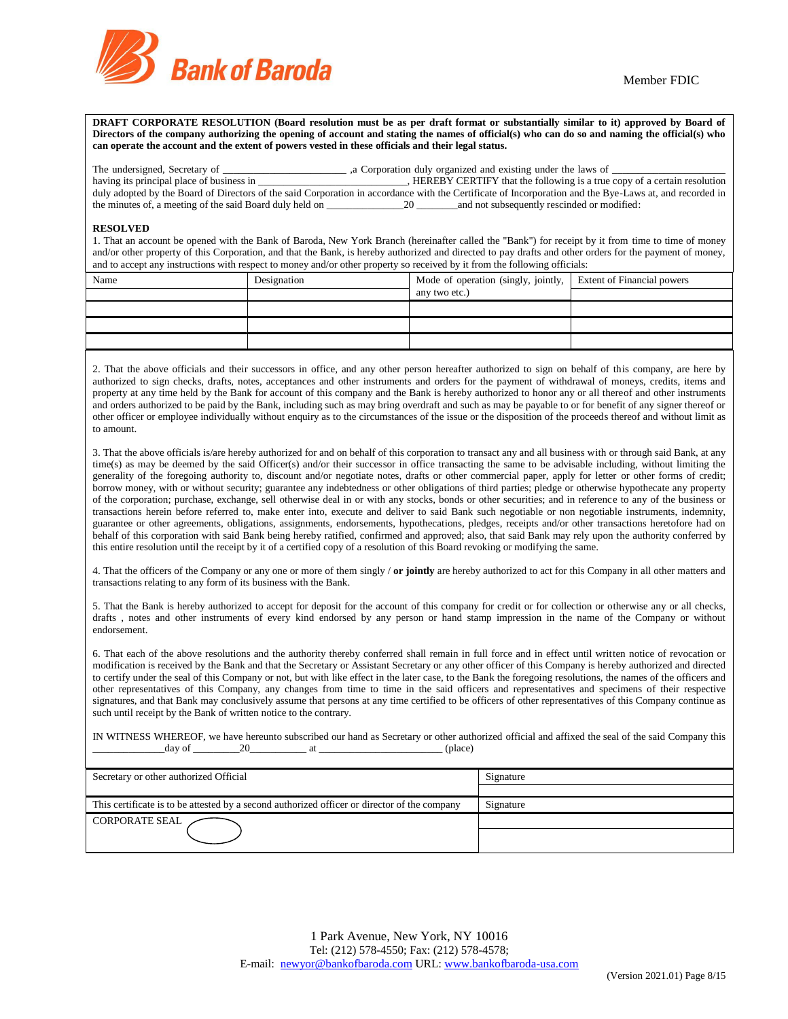

**DRAFT CORPORATE RESOLUTION (Board resolution must be as per draft format or substantially similar to it) approved by Board of Directors of the company authorizing the opening of account and stating the names of official(s) who can do so and naming the official(s) who can operate the account and the extent of powers vested in these officials and their legal status.**

The undersigned, Secretary of \_\_\_\_\_\_\_\_\_\_\_\_\_\_\_\_\_\_\_\_\_\_\_\_ ,a Corporation duly organized and existing under the laws of \_\_\_\_\_\_\_\_\_\_\_\_\_\_\_\_\_\_\_\_\_\_

| having its principal place of business in                                                                                                               | , HEREBY CERTIFY that the following is a true copy of a certain resolution |  |
|---------------------------------------------------------------------------------------------------------------------------------------------------------|----------------------------------------------------------------------------|--|
| duly adopted by the Board of Directors of the said Corporation in accordance with the Certificate of Incorporation and the Bye-Laws at, and recorded in |                                                                            |  |
| the minutes of, a meeting of the said Board duly held on                                                                                                | and not subsequently rescinded or modified:                                |  |

#### **RESOLVED**

1. That an account be opened with the Bank of Baroda, New York Branch (hereinafter called the "Bank") for receipt by it from time to time of money and/or other property of this Corporation, and that the Bank, is hereby authorized and directed to pay drafts and other orders for the payment of money, and to accept any instructions with respect to money and/or other property so received by it from the following officials:

| Name | Designation | Mode of operation (singly, jointly, Extent of Financial powers |  |
|------|-------------|----------------------------------------------------------------|--|
|      |             | any two etc.)                                                  |  |
|      |             |                                                                |  |
|      |             |                                                                |  |
|      |             |                                                                |  |

2. That the above officials and their successors in office, and any other person hereafter authorized to sign on behalf of this company, are here by authorized to sign checks, drafts, notes, acceptances and other instruments and orders for the payment of withdrawal of moneys, credits, items and property at any time held by the Bank for account of this company and the Bank is hereby authorized to honor any or all thereof and other instruments and orders authorized to be paid by the Bank, including such as may bring overdraft and such as may be payable to or for benefit of any signer thereof or other officer or employee individually without enquiry as to the circumstances of the issue or the disposition of the proceeds thereof and without limit as to amount.

3. That the above officials is/are hereby authorized for and on behalf of this corporation to transact any and all business with or through said Bank, at any time(s) as may be deemed by the said Officer(s) and/or their successor in office transacting the same to be advisable including, without limiting the generality of the foregoing authority to, discount and/or negotiate notes, drafts or other commercial paper, apply for letter or other forms of credit; borrow money, with or without security; guarantee any indebtedness or other obligations of third parties; pledge or otherwise hypothecate any property of the corporation; purchase, exchange, sell otherwise deal in or with any stocks, bonds or other securities; and in reference to any of the business or transactions herein before referred to, make enter into, execute and deliver to said Bank such negotiable or non negotiable instruments, indemnity, guarantee or other agreements, obligations, assignments, endorsements, hypothecations, pledges, receipts and/or other transactions heretofore had on behalf of this corporation with said Bank being hereby ratified, confirmed and approved; also, that said Bank may rely upon the authority conferred by this entire resolution until the receipt by it of a certified copy of a resolution of this Board revoking or modifying the same.

4. That the officers of the Company or any one or more of them singly / **or jointly** are hereby authorized to act for this Company in all other matters and transactions relating to any form of its business with the Bank.

5. That the Bank is hereby authorized to accept for deposit for the account of this company for credit or for collection or otherwise any or all checks, drafts , notes and other instruments of every kind endorsed by any person or hand stamp impression in the name of the Company or without endorsement.

6. That each of the above resolutions and the authority thereby conferred shall remain in full force and in effect until written notice of revocation or modification is received by the Bank and that the Secretary or Assistant Secretary or any other officer of this Company is hereby authorized and directed to certify under the seal of this Company or not, but with like effect in the later case, to the Bank the foregoing resolutions, the names of the officers and other representatives of this Company, any changes from time to time in the said officers and representatives and specimens of their respective signatures, and that Bank may conclusively assume that persons at any time certified to be officers of other representatives of this Company continue as such until receipt by the Bank of written notice to the contrary.

IN WITNESS WHEREOF, we have hereunto subscribed our hand as Secretary or other authorized official and affixed the seal of the said Company this  $_\text{day of}$   $\qquad \qquad 20$   $\qquad \qquad$  at  $\qquad \qquad$  (place)

| Secretary or other authorized Official                                                       | Signature |
|----------------------------------------------------------------------------------------------|-----------|
|                                                                                              |           |
| This certificate is to be attested by a second authorized officer or director of the company | Signature |
| CORPORATE SEAL                                                                               |           |
|                                                                                              |           |
|                                                                                              |           |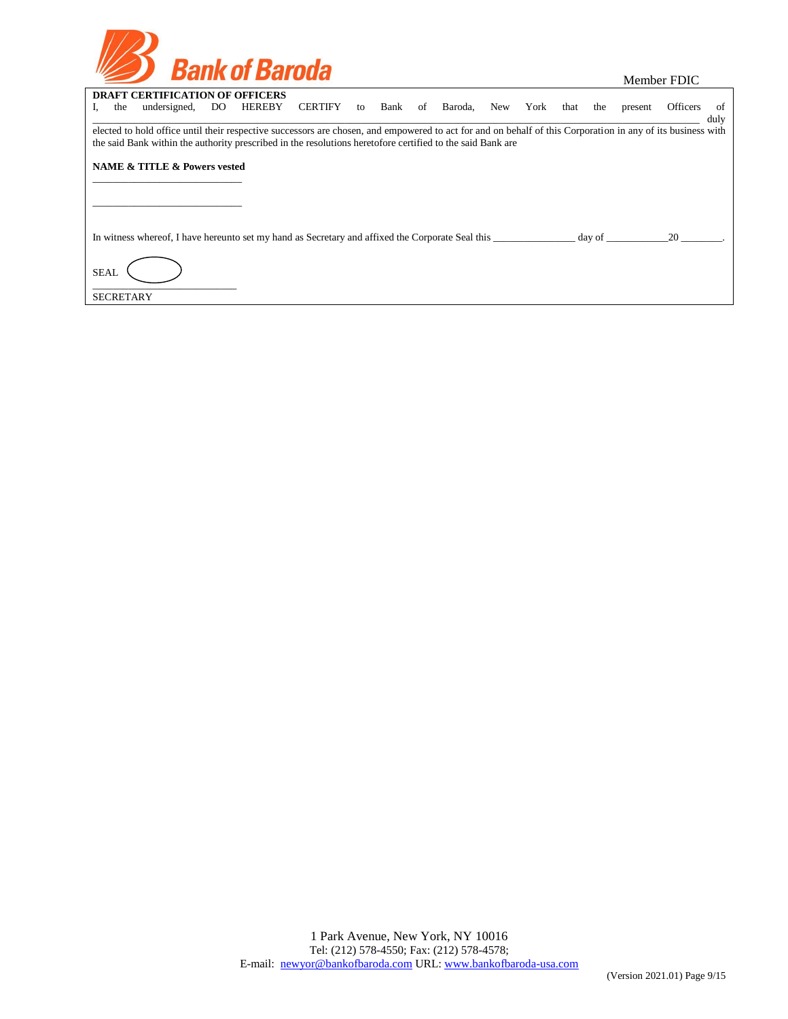| <b>Bank of Baroda</b> |
|-----------------------|
|                       |

|  | Member FDIC |
|--|-------------|
|--|-------------|

|                  | the | <b>DRAFT CERTIFICATION OF OFFICERS</b><br>undersigned,                                                                                                                                                                                                                    | DO. | <b>HEREBY</b> | CERTIFY | to | Bank | of Baroda, | New | York that | the | present | Officers | - of |
|------------------|-----|---------------------------------------------------------------------------------------------------------------------------------------------------------------------------------------------------------------------------------------------------------------------------|-----|---------------|---------|----|------|------------|-----|-----------|-----|---------|----------|------|
|                  |     |                                                                                                                                                                                                                                                                           |     |               |         |    |      |            |     |           |     |         |          | duly |
|                  |     | elected to hold office until their respective successors are chosen, and empowered to act for and on behalf of this Corporation in any of its business with<br>the said Bank within the authority prescribed in the resolutions heretofore certified to the said Bank are |     |               |         |    |      |            |     |           |     |         |          |      |
|                  |     | <b>NAME &amp; TITLE &amp; Powers vested</b>                                                                                                                                                                                                                               |     |               |         |    |      |            |     |           |     |         |          |      |
|                  |     |                                                                                                                                                                                                                                                                           |     |               |         |    |      |            |     |           |     |         |          |      |
|                  |     |                                                                                                                                                                                                                                                                           |     |               |         |    |      |            |     |           |     |         |          |      |
|                  |     |                                                                                                                                                                                                                                                                           |     |               |         |    |      |            |     |           |     |         |          |      |
|                  |     | In witness whereof, I have hereunto set my hand as Secretary and affixed the Corporate Seal this day of day of                                                                                                                                                            |     |               |         |    |      |            |     |           |     |         | 20       |      |
| <b>SEAL</b>      |     |                                                                                                                                                                                                                                                                           |     |               |         |    |      |            |     |           |     |         |          |      |
| <b>SECRETARY</b> |     |                                                                                                                                                                                                                                                                           |     |               |         |    |      |            |     |           |     |         |          |      |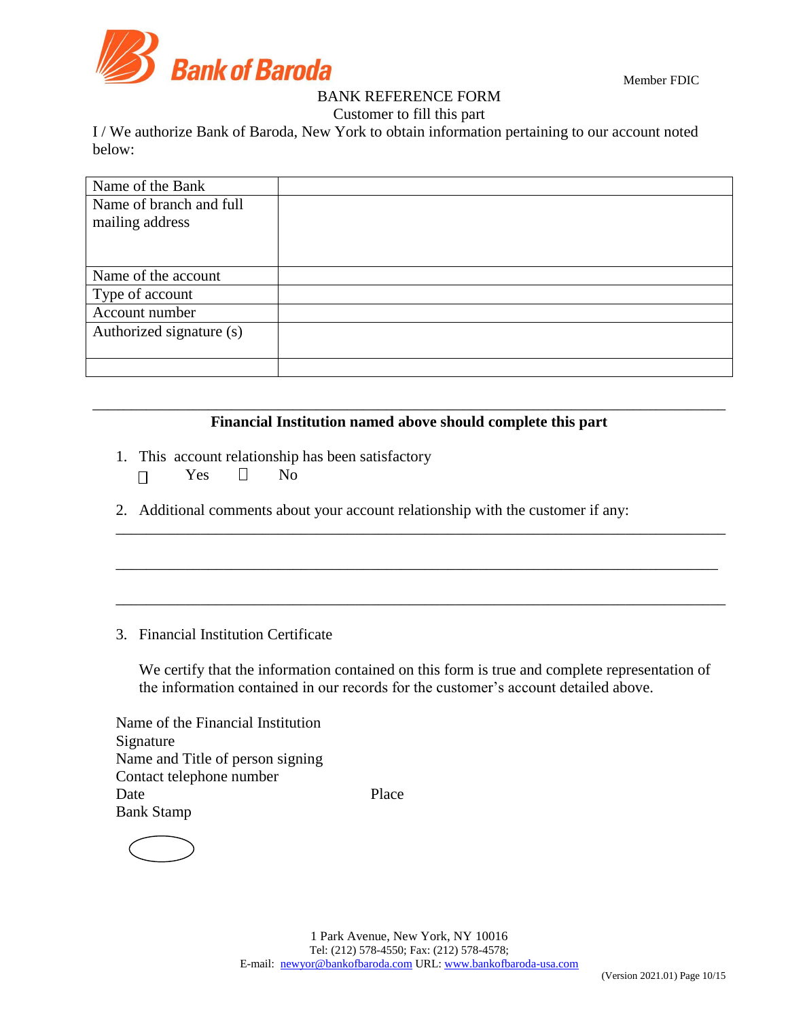

Member FDIC

# BANK REFERENCE FORM

Customer to fill this part

I / We authorize Bank of Baroda, New York to obtain information pertaining to our account noted below:

| Name of the Bank         |  |
|--------------------------|--|
| Name of branch and full  |  |
| mailing address          |  |
|                          |  |
|                          |  |
| Name of the account      |  |
| Type of account          |  |
| Account number           |  |
| Authorized signature (s) |  |
|                          |  |
|                          |  |

# \_\_\_\_\_\_\_\_\_\_\_\_\_\_\_\_\_\_\_\_\_\_\_\_\_\_\_\_\_\_\_\_\_\_\_\_\_\_\_\_\_\_\_\_\_\_\_\_\_\_\_\_\_\_\_\_\_\_\_\_\_\_\_\_\_\_\_\_\_\_\_\_\_\_\_\_\_\_\_\_\_\_ **Financial Institution named above should complete this part**

\_\_\_\_\_\_\_\_\_\_\_\_\_\_\_\_\_\_\_\_\_\_\_\_\_\_\_\_\_\_\_\_\_\_\_\_\_\_\_\_\_\_\_\_\_\_\_\_\_\_\_\_\_\_\_\_\_\_\_\_\_\_\_\_\_\_\_\_\_\_\_\_\_\_\_\_\_\_\_

\_\_\_\_\_\_\_\_\_\_\_\_\_\_\_\_\_\_\_\_\_\_\_\_\_\_\_\_\_\_\_\_\_\_\_\_\_\_\_\_\_\_\_\_\_\_\_\_\_\_\_\_\_\_\_\_\_\_\_\_\_\_\_\_\_\_\_\_\_\_\_\_\_\_\_\_\_\_

\_\_\_\_\_\_\_\_\_\_\_\_\_\_\_\_\_\_\_\_\_\_\_\_\_\_\_\_\_\_\_\_\_\_\_\_\_\_\_\_\_\_\_\_\_\_\_\_\_\_\_\_\_\_\_\_\_\_\_\_\_\_\_\_\_\_\_\_\_\_\_\_\_\_\_\_\_\_\_

- 1. This account relationship has been satisfactory
	- $\Box$  Yes  $\Box$  No

2. Additional comments about your account relationship with the customer if any:

# 3. Financial Institution Certificate

We certify that the information contained on this form is true and complete representation of the information contained in our records for the customer's account detailed above.

Name of the Financial Institution Signature Name and Title of person signing Contact telephone number Date Place Bank Stamp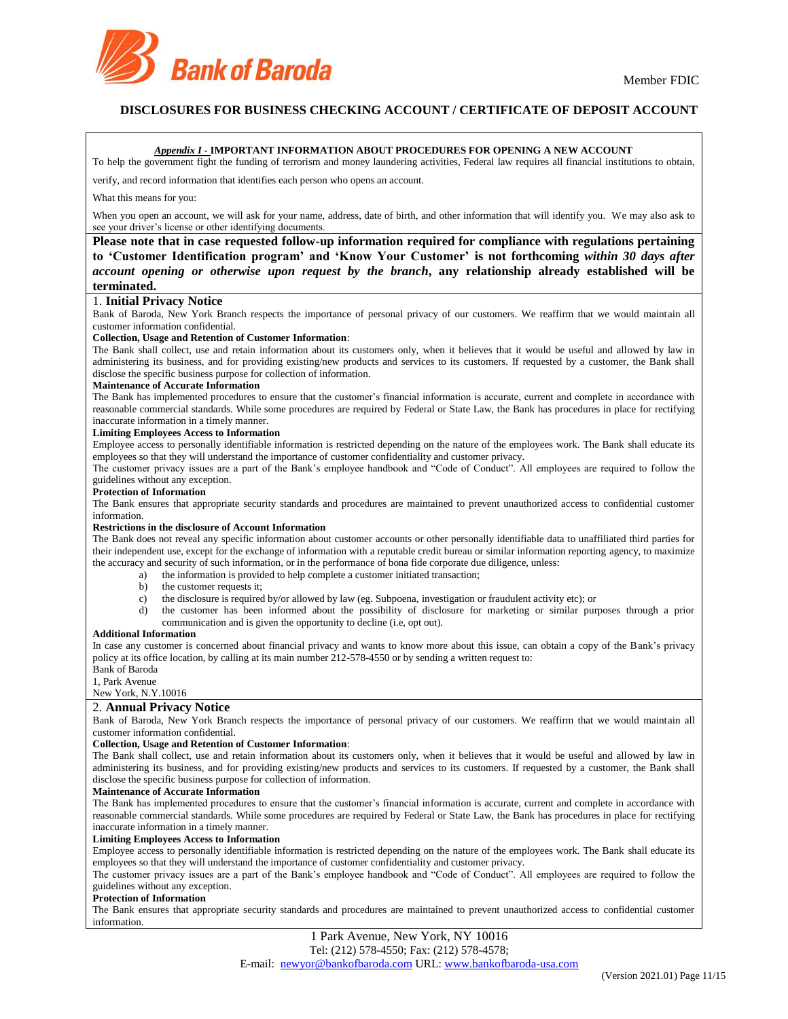

# **DISCLOSURES FOR BUSINESS CHECKING ACCOUNT / CERTIFICATE OF DEPOSIT ACCOUNT**

### *Appendix I -* **IMPORTANT INFORMATION ABOUT PROCEDURES FOR OPENING A NEW ACCOUNT**

To help the government fight the funding of terrorism and money laundering activities, Federal law requires all financial institutions to obtain,

verify, and record information that identifies each person who opens an account.

#### What this means for you:

When you open an account, we will ask for your name, address, date of birth, and other information that will identify you. We may also ask to see your driver's license or other identifying documents.

**Please note that in case requested follow-up information required for compliance with regulations pertaining to 'Customer Identification program' and 'Know Your Customer' is not forthcoming** *within 30 days after account opening or otherwise upon request by the branch***, any relationship already established will be terminated.**

## 1. **Initial Privacy Notice**

Bank of Baroda, New York Branch respects the importance of personal privacy of our customers. We reaffirm that we would maintain all customer information confidential.

#### **Collection, Usage and Retention of Customer Information**:

The Bank shall collect, use and retain information about its customers only, when it believes that it would be useful and allowed by law in administering its business, and for providing existing/new products and services to its customers. If requested by a customer, the Bank shall disclose the specific business purpose for collection of information.

#### **Maintenance of Accurate Information**

The Bank has implemented procedures to ensure that the customer's financial information is accurate, current and complete in accordance with reasonable commercial standards. While some procedures are required by Federal or State Law, the Bank has procedures in place for rectifying inaccurate information in a timely manner.

#### **Limiting Employees Access to Information**

Employee access to personally identifiable information is restricted depending on the nature of the employees work. The Bank shall educate its employees so that they will understand the importance of customer confidentiality and customer privacy.

The customer privacy issues are a part of the Bank's employee handbook and "Code of Conduct". All employees are required to follow the guidelines without any exception.

#### **Protection of Information**

The Bank ensures that appropriate security standards and procedures are maintained to prevent unauthorized access to confidential customer information.

### **Restrictions in the disclosure of Account Information**

The Bank does not reveal any specific information about customer accounts or other personally identifiable data to unaffiliated third parties for their independent use, except for the exchange of information with a reputable credit bureau or similar information reporting agency, to maximize the accuracy and security of such information, or in the performance of bona fide corporate due diligence, unless:

- a) the information is provided to help complete a customer initiated transaction;
- b) the customer requests it;
- 
- c) the disclosure is required by/or allowed by law (eg. Subpoena, investigation or fraudulent activity etc); or d) the customer has been informed about the possibility of disclosure for marketing or similar pur the customer has been informed about the possibility of disclosure for marketing or similar purposes through a prior communication and is given the opportunity to decline (i.e, opt out).

#### **Additional Information**

In case any customer is concerned about financial privacy and wants to know more about this issue, can obtain a copy of the Bank's privacy policy at its office location, by calling at its main number 212-578-4550 or by sending a written request to:

Bank of Baroda 1, Park Avenue

# New York, N.Y.10016

## 2. **Annual Privacy Notice**

Bank of Baroda, New York Branch respects the importance of personal privacy of our customers. We reaffirm that we would maintain all customer information confidential.

#### **Collection, Usage and Retention of Customer Information**:

The Bank shall collect, use and retain information about its customers only, when it believes that it would be useful and allowed by law in administering its business, and for providing existing/new products and services to its customers. If requested by a customer, the Bank shall disclose the specific business purpose for collection of information.

#### **Maintenance of Accurate Information**

The Bank has implemented procedures to ensure that the customer's financial information is accurate, current and complete in accordance with reasonable commercial standards. While some procedures are required by Federal or State Law, the Bank has procedures in place for rectifying inaccurate information in a timely manner.

#### **Limiting Employees Access to Information**

Employee access to personally identifiable information is restricted depending on the nature of the employees work. The Bank shall educate its employees so that they will understand the importance of customer confidentiality and customer privacy.

The customer privacy issues are a part of the Bank's employee handbook and "Code of Conduct". All employees are required to follow the guidelines without any exception.

#### **Protection of Information**

The Bank ensures that appropriate security standards and procedures are maintained to prevent unauthorized access to confidential customer information.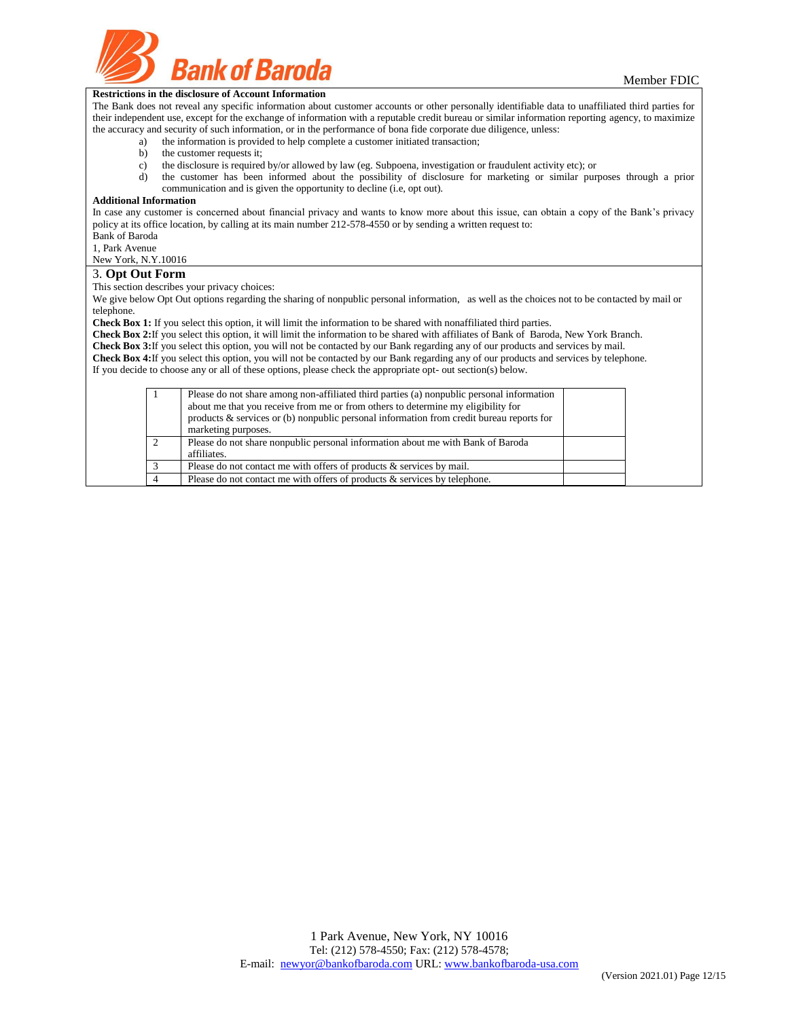

### **Restrictions in the disclosure of Account Information**

The Bank does not reveal any specific information about customer accounts or other personally identifiable data to unaffiliated third parties for their independent use, except for the exchange of information with a reputable credit bureau or similar information reporting agency, to maximize the accuracy and security of such information, or in the performance of bona fide corporate due diligence, unless:

- a) the information is provided to help complete a customer initiated transaction;
	- b) the customer requests it;
	- c) the disclosure is required by/or allowed by law (eg. Subpoena, investigation or fraudulent activity etc); or
	- d) the customer has been informed about the possibility of disclosure for marketing or similar purposes through a prior communication and is given the opportunity to decline (i.e, opt out).

#### **Additional Information**

In case any customer is concerned about financial privacy and wants to know more about this issue, can obtain a copy of the Bank's privacy policy at its office location, by calling at its main number 212-578-4550 or by sending a written request to: Bank of Baroda

1, Park Avenue

New York, N.Y.10016

#### 3. **Opt Out Form**

This section describes your privacy choices:

We give below Opt Out options regarding the sharing of nonpublic personal information, as well as the choices not to be contacted by mail or telephone.

**Check Box 1:** If you select this option, it will limit the information to be shared with nonaffiliated third parties.

**Check Box 2:**If you select this option, it will limit the information to be shared with affiliates of Bank of Baroda, New York Branch.

**Check Box 3:**If you select this option, you will not be contacted by our Bank regarding any of our products and services by mail. **Check Box 4:**If you select this option, you will not be contacted by our Bank regarding any of our products and services by telephone.

If you decide to choose any or all of these options, please check the appropriate opt- out section(s) below.

| Please do not share among non-affiliated third parties (a) nonpublic personal information<br>about me that you receive from me or from others to determine my eligibility for<br>products $\&$ services or (b) nonpublic personal information from credit bureau reports for<br>marketing purposes. |  |
|-----------------------------------------------------------------------------------------------------------------------------------------------------------------------------------------------------------------------------------------------------------------------------------------------------|--|
| Please do not share nonpublic personal information about me with Bank of Baroda<br>affiliates.                                                                                                                                                                                                      |  |
| Please do not contact me with offers of products & services by mail.                                                                                                                                                                                                                                |  |
| Please do not contact me with offers of products $\&$ services by telephone.                                                                                                                                                                                                                        |  |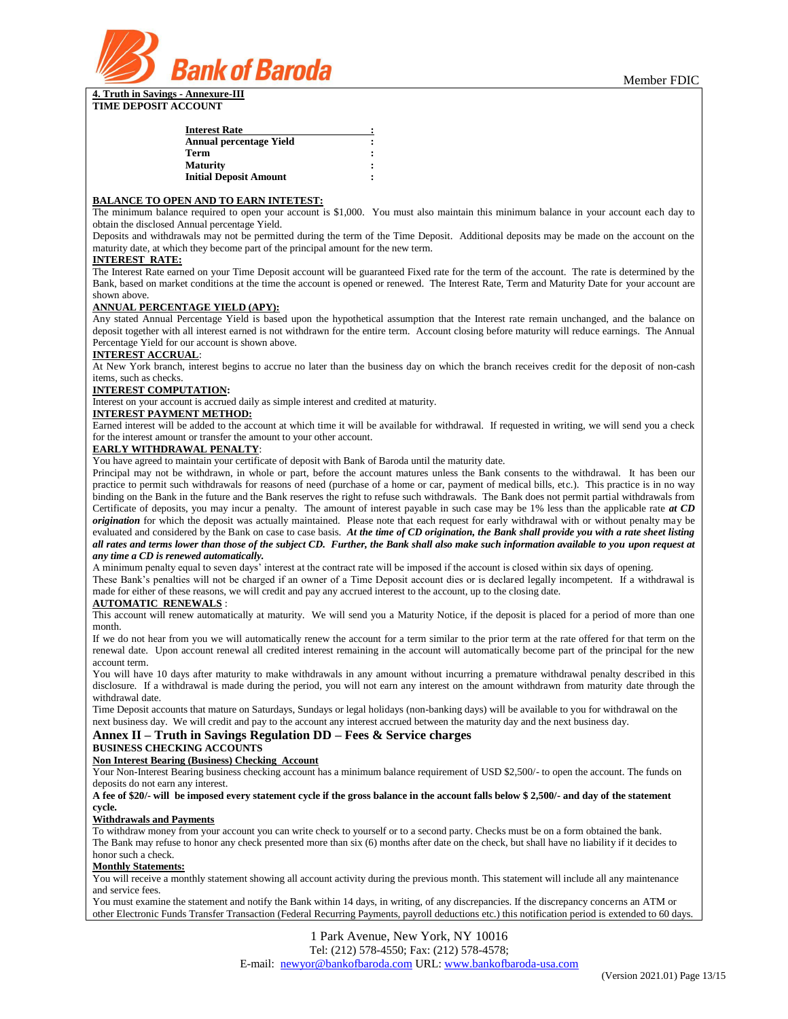

| <b>Interest Rate</b>          |  |
|-------------------------------|--|
| Annual percentage Yield       |  |
| Term                          |  |
| <b>Maturity</b>               |  |
| <b>Initial Deposit Amount</b> |  |

#### **BALANCE TO OPEN AND TO EARN INTETEST:**

The minimum balance required to open your account is \$1,000. You must also maintain this minimum balance in your account each day to obtain the disclosed Annual percentage Yield.

Deposits and withdrawals may not be permitted during the term of the Time Deposit. Additional deposits may be made on the account on the maturity date, at which they become part of the principal amount for the new term.

### **INTEREST RATE:**

The Interest Rate earned on your Time Deposit account will be guaranteed Fixed rate for the term of the account. The rate is determined by the Bank, based on market conditions at the time the account is opened or renewed. The Interest Rate, Term and Maturity Date for your account are shown above.

## **ANNUAL PERCENTAGE YIELD (APY):**

Any stated Annual Percentage Yield is based upon the hypothetical assumption that the Interest rate remain unchanged, and the balance on deposit together with all interest earned is not withdrawn for the entire term. Account closing before maturity will reduce earnings. The Annual Percentage Yield for our account is shown above.

### **INTEREST ACCRUAL**:

At New York branch, interest begins to accrue no later than the business day on which the branch receives credit for the deposit of non-cash items, such as checks.

#### **INTEREST COMPUTATION:**

Interest on your account is accrued daily as simple interest and credited at maturity.

# **INTEREST PAYMENT METHOD:**

Earned interest will be added to the account at which time it will be available for withdrawal. If requested in writing, we will send you a check for the interest amount or transfer the amount to your other account.

# **EARLY WITHDRAWAL PENALTY**:

You have agreed to maintain your certificate of deposit with Bank of Baroda until the maturity date.

Principal may not be withdrawn, in whole or part, before the account matures unless the Bank consents to the withdrawal. It has been our practice to permit such withdrawals for reasons of need (purchase of a home or car, payment of medical bills, etc.). This practice is in no way binding on the Bank in the future and the Bank reserves the right to refuse such withdrawals. The Bank does not permit partial withdrawals from Certificate of deposits, you may incur a penalty. The amount of interest payable in such case may be 1% less than the applicable rate *at CD origination* for which the deposit was actually maintained. Please note that each request for early withdrawal with or without penalty may be evaluated and considered by the Bank on case to case basis. *At the time of CD origination, the Bank shall provide you with a rate sheet listing all rates and terms lower than those of the subject CD. Further, the Bank shall also make such information available to you upon request at any time a CD is renewed automatically.*

A minimum penalty equal to seven days' interest at the contract rate will be imposed if the account is closed within six days of opening.

These Bank's penalties will not be charged if an owner of a Time Deposit account dies or is declared legally incompetent. If a withdrawal is made for either of these reasons, we will credit and pay any accrued interest to the account, up to the closing date.

#### **AUTOMATIC RENEWALS** :

This account will renew automatically at maturity. We will send you a Maturity Notice, if the deposit is placed for a period of more than one month.

If we do not hear from you we will automatically renew the account for a term similar to the prior term at the rate offered for that term on the renewal date. Upon account renewal all credited interest remaining in the account will automatically become part of the principal for the new account term.

You will have 10 days after maturity to make withdrawals in any amount without incurring a premature withdrawal penalty described in this disclosure. If a withdrawal is made during the period, you will not earn any interest on the amount withdrawn from maturity date through the withdrawal date.

Time Deposit accounts that mature on Saturdays, Sundays or legal holidays (non-banking days) will be available to you for withdrawal on the next business day. We will credit and pay to the account any interest accrued between the maturity day and the next business day.

# **Annex II – Truth in Savings Regulation DD – Fees & Service charges**

**BUSINESS CHECKING ACCOUNTS**

**Non Interest Bearing (Business) Checking Account**

Your Non-Interest Bearing business checking account has a minimum balance requirement of USD \$2,500/- to open the account. The funds on deposits do not earn any interest.

**A fee of \$20/- will be imposed every statement cycle if the gross balance in the account falls below \$ 2,500/- and day of the statement cycle.**

#### **Withdrawals and Payments**

To withdraw money from your account you can write check to yourself or to a second party. Checks must be on a form obtained the bank. The Bank may refuse to honor any check presented more than six (6) months after date on the check, but shall have no liability if it decides to honor such a check.

# **Monthly Statements:**

You will receive a monthly statement showing all account activity during the previous month. This statement will include all any maintenance and service fees.

You must examine the statement and notify the Bank within 14 days, in writing, of any discrepancies. If the discrepancy concerns an ATM or other Electronic Funds Transfer Transaction (Federal Recurring Payments, payroll deductions etc.) this notification period is extended to 60 days.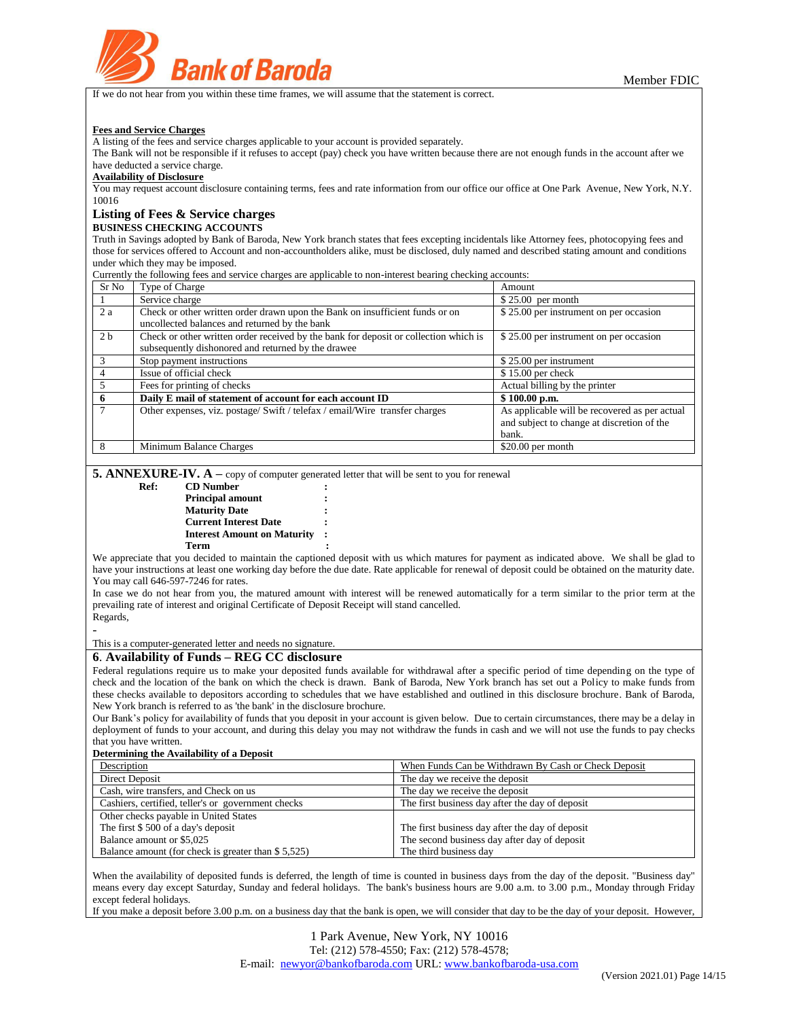

If we do not hear from you within these time frames, we will assume that the statement is correct.

#### **Fees and Service Charges**

A listing of the fees and service charges applicable to your account is provided separately.

The Bank will not be responsible if it refuses to accept (pay) check you have written because there are not enough funds in the account after we have deducted a service charge.

# **Availability of Disclosure**

You may request account disclosure containing terms, fees and rate information from our office our office at One Park Avenue, New York, N.Y. 10016

## **Listing of Fees & Service charges**

**BUSINESS CHECKING ACCOUNTS**

Truth in Savings adopted by Bank of Baroda, New York branch states that fees excepting incidentals like Attorney fees, photocopying fees and those for services offered to Account and non-accountholders alike, must be disclosed, duly named and described stating amount and conditions under which they may be imposed.

Currently the following fees and service charges are applicable to non-interest bearing checking accounts:

| Sr No          | Type of Charge                                                                       | Amount                                        |
|----------------|--------------------------------------------------------------------------------------|-----------------------------------------------|
|                | Service charge                                                                       | $$25.00$ per month                            |
| 2 a            | Check or other written order drawn upon the Bank on insufficient funds or on         | \$25.00 per instrument on per occasion        |
|                | uncollected balances and returned by the bank                                        |                                               |
| 2 <sub>b</sub> | Check or other written order received by the bank for deposit or collection which is | \$25.00 per instrument on per occasion        |
|                | subsequently dishonored and returned by the drawee                                   |                                               |
| 3              | Stop payment instructions                                                            | \$25.00 per instrument                        |
|                | Issue of official check                                                              | $$15.00$ per check                            |
|                | Fees for printing of checks                                                          | Actual billing by the printer                 |
| 6              | Daily E mail of statement of account for each account ID                             | \$100.00 p.m.                                 |
|                | Other expenses, viz. postage/ Swift / telefax / email/Wire transfer charges          | As applicable will be recovered as per actual |
|                |                                                                                      | and subject to change at discretion of the    |
|                |                                                                                      | bank.                                         |
| 8              | Minimum Balance Charges                                                              | $$20.00$ per month                            |

**5. ANNEXURE-IV.**  $\mathbf{A}$  – copy of computer generated letter that will be sent to you for renewal

| <b>Interest Amount on Maturity</b> | $\ddot{\cdot}$ |
|------------------------------------|----------------|
|                                    |                |
|                                    |                |

We appreciate that you decided to maintain the captioned deposit with us which matures for payment as indicated above. We shall be glad to have your instructions at least one working day before the due date. Rate applicable for renewal of deposit could be obtained on the maturity date. You may call 646-597-7246 for rates.

In case we do not hear from you, the matured amount with interest will be renewed automatically for a term similar to the prior term at the prevailing rate of interest and original Certificate of Deposit Receipt will stand cancelled.

Regards, -

This is a computer-generated letter and needs no signature.

# **6**. **Availability of Funds – REG CC disclosure**

Federal regulations require us to make your deposited funds available for withdrawal after a specific period of time depending on the type of check and the location of the bank on which the check is drawn. Bank of Baroda, New York branch has set out a Policy to make funds from these checks available to depositors according to schedules that we have established and outlined in this disclosure brochure. Bank of Baroda, New York branch is referred to as 'the bank' in the disclosure brochure.

Our Bank's policy for availability of funds that you deposit in your account is given below. Due to certain circumstances, there may be a delay in deployment of funds to your account, and during this delay you may not withdraw the funds in cash and we will not use the funds to pay checks that you have written.

#### **Determining the Availability of a Deposit**

| Description                                        | When Funds Can be Withdrawn By Cash or Check Deposit |
|----------------------------------------------------|------------------------------------------------------|
| Direct Deposit                                     | The day we receive the deposit                       |
| Cash, wire transfers, and Check on us              | The day we receive the deposit                       |
| Cashiers, certified, teller's or government checks | The first business day after the day of deposit      |
| Other checks payable in United States              |                                                      |
| The first $$500$ of a day's deposit                | The first business day after the day of deposit      |
| Balance amount or \$5,025                          | The second business day after day of deposit         |
| Balance amount (for check is greater than \$5,525) | The third business day                               |

When the availability of deposited funds is deferred, the length of time is counted in business days from the day of the deposit. "Business day" means every day except Saturday, Sunday and federal holidays. The bank's business hours are 9.00 a.m. to 3.00 p.m., Monday through Friday except federal holidays.

If you make a deposit before 3.00 p.m. on a business day that the bank is open, we will consider that day to be the day of your deposit. However,